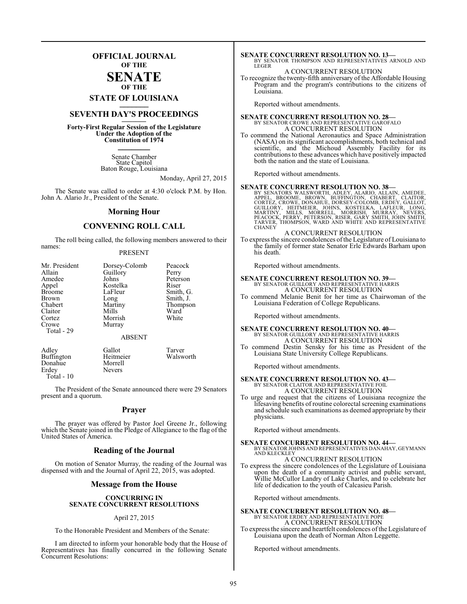### **OFFICIAL JOURNAL OF THE**

### **SENATE OF THE**

## **STATE OF LOUISIANA \_\_\_\_\_\_\_**

## **SEVENTH DAY'S PROCEEDINGS \_\_\_\_\_\_\_**

**Forty-First Regular Session of the Legislature Under the Adoption of the Constitution of 1974 \_\_\_\_\_\_\_**

> Senate Chamber State Capitol Baton Rouge, Louisiana

> > Monday, April 27, 2015

The Senate was called to order at 4:30 o'clock P.M. by Hon. John A. Alario Jr., President of the Senate.

#### **Morning Hour**

### **CONVENING ROLL CALL**

The roll being called, the following members answered to their names:

#### PRESENT

| Mr. President<br>Allain<br>Amedee<br>Appel<br><b>Broome</b><br>Brown<br>Chabert<br>Claitor<br>Cortez<br>Crowe<br>Total - 29 | Dorsey-Colomb<br>Guillory<br>Johns<br>Kostelka<br>LaFleur<br>Long<br>Martiny<br>Mills<br>Morrish<br>Murray<br><b>ABSENT</b> | Peacock<br>Perry<br>Peterson<br>Riser<br>Smith, G.<br>Smith, J.<br>Thompson<br>Ward<br>White |
|-----------------------------------------------------------------------------------------------------------------------------|-----------------------------------------------------------------------------------------------------------------------------|----------------------------------------------------------------------------------------------|
|-----------------------------------------------------------------------------------------------------------------------------|-----------------------------------------------------------------------------------------------------------------------------|----------------------------------------------------------------------------------------------|

| Adley             | Gallot        | Tarver    |
|-------------------|---------------|-----------|
| <b>Buffington</b> | Heitmeier     | Walsworth |
| Donahue           | Morrell       |           |
| Erdev             | <b>Nevers</b> |           |
| Total - 10        |               |           |

The President of the Senate announced there were 29 Senators present and a quorum.

#### **Prayer**

The prayer was offered by Pastor Joel Greene Jr., following which the Senate joined in the Pledge of Allegiance to the flag of the United States of America.

#### **Reading of the Journal**

On motion of Senator Murray, the reading of the Journal was dispensed with and the Journal of April 22, 2015, was adopted.

#### **Message from the House**

#### **CONCURRING IN SENATE CONCURRENT RESOLUTIONS**

#### April 27, 2015

To the Honorable President and Members of the Senate:

I am directed to inform your honorable body that the House of Representatives has finally concurred in the following Senate Concurrent Resolutions:

### **SENATE CONCURRENT RESOLUTION NO. 13—** BY SENATOR THOMPSON AND REPRESENTATIVES ARNOLD AND LEGER

#### A CONCURRENT RESOLUTION

To recognize the twenty-fifth anniversary of the Affordable Housing Program and the program's contributions to the citizens of Louisiana.

Reported without amendments.

### **SENATE CONCURRENT RESOLUTION NO. 28—** BY SENATOR CROWE AND REPRESENTATIVE GAROFALO A CONCURRENT RESOLUTION

To commend the National Aeronautics and Space Administration (NASA) on its significant accomplishments, both technical and scientific, and the Michoud Assembly Facility for its contributions to these advances which have positively impacted both the nation and the state of Louisiana.

Reported without amendments.

**SENATE CONCURRENT RESOLUTION NO. 38**<br>BY SENATORS WALSWORTH, ADLEY, ALARIO, ALLAIN, AMEDEE,<br>APPEL, BROOME, BROWN, BUFFINGTON, CHABERT, CLAITOR,<br>CORTEZ, CROWE, DONAHUE, DORSEY-COLOMB, ERDEY, GALLOT,<br>GUILLORY, HEITMEIER, JOH

A CONCURRENT RESOLUTION

To express the sincere condolences ofthe Legislature of Louisiana to the family of former state Senator Erle Edwards Barham upon his death.

Reported without amendments.

## **SENATE CONCURRENT RESOLUTION NO. 39—** BY SENATOR GUILLORY AND REPRESENTATIVE HARRIS

A CONCURRENT RESOLUTION To commend Melanie Benit for her time as Chairwoman of the Louisiana Federation of College Republicans.

Reported without amendments.

**SENATE CONCURRENT RESOLUTION NO. 40—**<br>BY SENATOR GUILLORY AND REPRESENTATIVE HARRIS<br>A CONCURRENT RESOLUTION

To commend Destin Sensky for his time as President of the Louisiana State University College Republicans.

Reported without amendments.

## **SENATE CONCURRENT RESOLUTION NO. 43–BY SENATOR CLAITOR AND REPRESENTATIVE FOIL**

A CONCURRENT RESOLUTION

To urge and request that the citizens of Louisiana recognize the lifesaving benefits of routine colorectal screening examinations and schedule such examinations as deemed appropriate by their physicians.

Reported without amendments.

**SENATE CONCURRENT RESOLUTION NO. 44—** BY SENATOR JOHNS AND REPRESENTATIVES DANAHAY, GEYMANN AND KLECKLEY

A CONCURRENT RESOLUTION To express the sincere condolences of the Legislature of Louisiana upon the death of a community activist and public servant, Willie McCullor Landry of Lake Charles, and to celebrate her life of dedication to the youth of Calcasieu Parish.

Reported without amendments.

#### **SENATE CONCURRENT RESOLUTION NO. 48—** BY SENATOR ERDEY AND REPRESENTATIVE POPE A CONCURRENT RESOLUTION

To express the sincere and heartfelt condolences of the Legislature of Louisiana upon the death of Norman Alton Leggette.

Reported without amendments.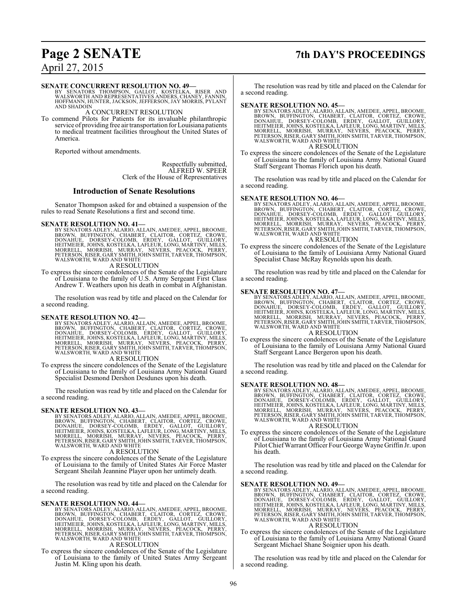## **Page 2 SENATE 7th DAY'S PROCEEDINGS**

April 27, 2015

#### **SENATE CONCURRENT RESOLUTION NO. 49—**

BY SENATORS THOMPSON, GALLOT, KOSTELKA, RISER AND WALSWORTH AND REPRESENTATIVES ANDERS, CHANEY, FANNIN, HOFFMANN, HUNTER, JACKSON, JEFFERSON, JAY MORRIS, PYLANT AND SHADOIN

#### A CONCURRENT RESOLUTION

To commend Pilots for Patients for its invaluable philanthropic service of providing free air transportation for Louisiana patients to medical treatment facilities throughout the United States of America.

Reported without amendments.

Respectfully submitted, ALFRED W. SPEER Clerk of the House of Representatives

#### **Introduction of Senate Resolutions**

Senator Thompson asked for and obtained a suspension of the rules to read Senate Resolutions a first and second time.

SENATE RESOLUTION NO. 41—<br>BY SENATORS ADLEY, ALARIO, ALLAIN, AMEDEE, APPEL, BROOME, BROOM, UFFINGTON, CHABERT, CLAITOR, CORTEZ, CROWE,<br>DONAHUE, DORSEY-COLOMB, ERDEY, GALLOT, GUILLORY,<br>HEITMEIER, JOHNS, KOSTELKA, LAFLEUR, L A RESOLUTION

To express the sincere condolences of the Senate of the Legislature of Louisiana to the family of U.S. Army Sergeant First Class Andrew T. Weathers upon his death in combat in Afghanistan.

The resolution was read by title and placed on the Calendar for a second reading.

SENATE RESOLUTION NO. 42—<br>BY SENATORS ADLEY, ALARIO, ALLAIN, AMEDEE, APPEL, BROOME<br>BROWN, BUFFINGTON, CHABERT, CLAITOR, CORTEZ, CROWE,<br>DONAHUE, DORSEY-COLOMB, ERDEY, GALLOT, GUILLORY,<br>HEITMEIER, JOHNS, KOSTELKA, LAFLEUR, L A RESOLUTION

To express the sincere condolences of the Senate of the Legislature of Louisiana to the family of Louisiana Army National Guard Specialist Desmond Dershon Desdunes upon his death.

The resolution was read by title and placed on the Calendar for a second reading.

#### **SENATE RESOLUTION NO. 43—**

- BY SENATORS ADLEY, ALARIO, ALLAIN, AMEDEE, APPEL, BROOME,<br>BROWN, BUFFINGTON, CHABERT, CLAITOR, CORTEZ, CROWE,<br>DONAHUE, DORSEY-COLOMB, ERDEY, GALLOT, GUILLORY,<br>HEITMEIER, JOHNS, KOSTELKA, LAFLEUR, LONG, MARTINY, MILLS,<br>MORR WALSWORTH, WARD AND WHITE
	- A RESOLUTION
- To express the sincere condolences of the Senate of the Legislature of Louisiana to the family of United States Air Force Master Sergeant Sheilah Jeannine Player upon her untimely death.

The resolution was read by title and placed on the Calendar for a second reading.

#### **SENATE RESOLUTION NO. 44—**

BY SENATORS ADLEY, ALARIO, ALLAIN, AMEDEE, APPEL, BROOME,<br>BROWN, BUFFINGTON, CHABERT, CLAITOR, CORTEZ, CROWE,<br>DONAHUE, DORSEY-COLOMB, ERDEY, GALLOT, GUILLORY,<br>HEITMEIER, JOHNS, KOSTELKA, LAFLEUR, LONG, MARTINY, MILLS,<br>MORR

#### A RESOLUTION

To express the sincere condolences of the Senate of the Legislature of Louisiana to the family of United States Army Sergeant Justin M. Kling upon his death.

The resolution was read by title and placed on the Calendar for a second reading.

SENATE RESOLUTION NO. 45—<br>BY SENATORS ADLEY, ALARIO, ALLAIN, AMEDEE, APPEL, BROOME, BROWN, BUFFINGTON, CHABERT, CLAITOR, CORTEZ, CROWE,<br>DONAHUE, DORSEY-COLOMB, ERDEY, GALLOT, GUILLORY,<br>HEITMEIER, JOHNS, KOSTELKA, LAFLEUR,

#### A RESOLUTION

To express the sincere condolences of the Senate of the Legislature of Louisiana to the family of Louisiana Army National Guard Staff Sergeant Thomas Florich upon his death.

The resolution was read by title and placed on the Calendar for a second reading.

**SENATE RESOLUTION NO. 46—**<br>BY SENATORS ADLEY, ALARIO, ALLAIN, AMEDEE, APPEL, BROOME, BROOM, BUFFINGTON, CHABERT, CLAITOR, CORTEZ, CROWE,<br>DONAHUE, DORSEY-COLOMB, ERDEY, GALLOT, GUILLORY,<br>HEITMEIER, JOHNS, KOSTELKA, LAFLEUR A RESOLUTION

#### To express the sincere condolences of the Senate of the Legislature of Louisiana to the family of Louisiana Army National Guard Specialist Chase McRay Reynolds upon his death.

The resolution was read by title and placed on the Calendar for a second reading.

#### **SENATE RESOLUTION NO. 47—**

BY SENATORS ADLEY, ALARIO, ALLAIN, AMEDEE, APPEL, BROOME,<br>BROWN, BUFFINGTON, CHABERT, CLAITOR, CORTEZ, CROWE,<br>DONAHUE, DORSEY-COLOMB, ERDEY, GALLOT, GUILLORY,<br>HEITMEIER, JOHNS, KOSTELKA, LAFLEUR, LONG, MARTINY, MILLS,<br>MORR A RESOLUTION

To express the sincere condolences of the Senate of the Legislature of Louisiana to the family of Louisiana Army National Guard Staff Sergeant Lance Bergeron upon his death.

The resolution was read by title and placed on the Calendar for a second reading.

#### **SENATE RESOLUTION NO. 48—**

BY SENATORS ADLEY, ALARIO, ALLAIN, AMEDEE, APPEL, BROOME,<br>BROWN, BUFFINGTON, CHABERT, CLAITOR, CORTEZ, CROWE,<br>DONAHUE, DORSEY-COLOMB, ERDEY, GALLOT, GUILLORY,<br>HEITMEIER, JOHNS, KOSTELKA, LAFLEUR, LONG, MARTINY, MILLS,<br>MORR WALSWORTH, WARD AND WHITE A RESOLUTION

To express the sincere condolences of the Senate of the Legislature of Louisiana to the family of Louisiana Army National Guard Pilot ChiefWarrant Officer Four George Wayne Griffin Jr. upon his death.

The resolution was read by title and placed on the Calendar for a second reading.

#### **SENATE RESOLUTION NO. 49—**

BY SENATORS ADLEY, ALARIO, ALLAIN, AMEDEE, APPEL, BROOME,<br>BROWN, BUFFINGTON, CHABERT, CLAITOR, CORTEZ, CROWE,<br>DONAHUE, DORSEY-COLOMB, ERDEY, GALLOT, GUILLORY,<br>HEITMEIER, JOHNS, KOSTELKA, LAFLEUR, LONG, MARTINY, MILLS,<br>MORR A RESOLUTION

To express the sincere condolences of the Senate of the Legislature of Louisiana to the family of Louisiana Army National Guard Sergeant Michael Shane Soignier upon his death.

The resolution was read by title and placed on the Calendar for a second reading.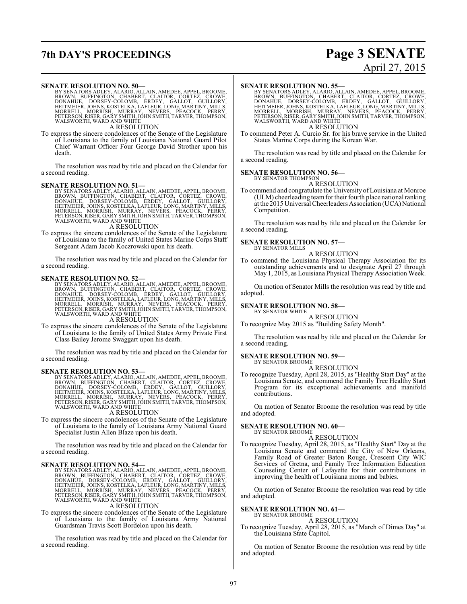## **7th DAY'S PROCEEDINGS Page 3 SENATE**

#### **SENATE RESOLUTION NO. 50—**

BY SENATORS ADLEY, ALARIO, ALLAIN, AMEDEE, APPEL, BROOME,<br>BROWN, BUFFINGTON, CHABERT, CLAITOR, CORTEZ, CROWE,<br>DONAHUE, DORSEY-COLOMB, ERDEY, GALLOT, GUILLORY,<br>HEITMEIER, JOHNS, KOSTELKA, LAFLEUR, LONG, MARTINY, MILLS,<br>MORR A RESOLUTION

To express the sincere condolences of the Senate of the Legislature of Louisiana to the family of Louisiana National Guard Pilot Chief Warrant Officer Four George David Strother upon his death.

The resolution was read by title and placed on the Calendar for a second reading.

#### **SENATE RESOLUTION NO. 51—**

BY SENATORS ADLEY, ALARIO, ALLAIN, AMEDEE, APPEL, BROOME,<br>BROWN, BUFFINGTON, CHABERT, CLAITOR, CORTEZ, CROWE,<br>DONAHUE, DORSEY-COLOMB, ERDEY, GALLOT, GUILLORY,<br>HEITMEIER, JOHNS, KOSTELKA, LAFLEUR, LONG, MARTINY, MILLS,<br>MORR

A RESOLUTION

To express the sincere condolences of the Senate of the Legislature of Louisiana to the family of United States Marine Corps Staff Sergeant Adam Jacob Koczrowski upon his death.

The resolution was read by title and placed on the Calendar for a second reading.

**SENATE RESOLUTION NO. 52—**<br>BY SENATORS ADLEY, ALARIO, ALLAIN, AMEDEE, APPEL, BROOME, BROOM, BOFFINGTON, CHABERT, CLAITOR, CORTEZ, CROWE,<br>DONAHUE, DORSEY-COLOMB, ERDEY, GALLOT, GUILLORY,<br>HEITMEIER, JOHNS, KOSTELKA, LAFLEUR

#### A RESOLUTION

To express the sincere condolences of the Senate of the Legislature of Louisiana to the family of United States Army Private First Class Bailey Jerome Swaggart upon his death.

The resolution was read by title and placed on the Calendar for a second reading.

SENATE RESOLUTION NO. 53—<br>BY SENATORS ADLEY, ALARIO, ALLAIN, AMEDEE, APPEL, BROOME, BROWN, BUFFINGTON, CHABERT, CLAITOR, CORTEZ, CROWE,<br>DONAHUE, DORSEY-COLOMB, ERDEY, GALLOT, GUILLORY,<br>HEITMEIER, JOHNS, KOSTELKA, LAFLEUR,

#### A RESOLUTION

To express the sincere condolences of the Senate of the Legislature of Louisiana to the family of Louisiana Army National Guard Specialist Justin Allen Blaze upon his death.

The resolution was read by title and placed on the Calendar for a second reading.

#### **SENATE RESOLUTION NO. 54—**

BY SENATORS ADLEY, ALARIO, ALLAIN, AMEDEE, APPEL, BROOME, BOROWN, BUFFINGTON, CHABERT, CLAITOR, CORTEZ, CROWE,<br>DONAHUE, DORSEY-COLOMB, ERDEY, GALLOT, GUILLORY,<br>HEITMEIER, JOHNS, KOSTELKA, LAFLEUR, LONG, MARTINY, MILLS,<br>MOR

To express the sincere condolences of the Senate of the Legislature of Louisiana to the family of Louisiana Army National Guardsman Travis Scott Bordelon upon his death.

The resolution was read by title and placed on the Calendar for a second reading.

# April 27, 2015

#### **SENATE RESOLUTION NO. 55—**

BY SENATORS ADLEY, ALARIO, ALLAIN, AMEDEE, APPEL, BROOME,<br>BROWN, BUFFINGTON, CHABERT, CLAITOR, CORTEZ, CROWE,<br>DONAHUE, DORSEY-COLOMB, ERDEY, GALLOT, GUILLORY,<br>HEITMEIER, JOHNS, KOSTELKA, LAFLEUR, LONG, MARTINY, MILLS,<br>MORR A RESOLUTION

To commend Peter A. Curcio Sr. for his brave service in the United States Marine Corps during the Korean War.

The resolution was read by title and placed on the Calendar for a second reading.

#### **SENATE RESOLUTION NO. 56—** BY SENATOR THOMPSON

A RESOLUTION

To commend and congratulate the University ofLouisiana at Monroe (ULM) cheerleading teamfor their fourth place national ranking at the 2015 Universal Cheerleaders Association (UCA) National Competition.

The resolution was read by title and placed on the Calendar for a second reading.

#### **SENATE RESOLUTION NO. 57—** BY SENATOR MILLS

#### A RESOLUTION

To commend the Louisiana Physical Therapy Association for its outstanding achievements and to designate April 27 through May 1, 2015, as Louisiana Physical Therapy Association Week.

On motion of Senator Mills the resolution was read by title and adopted.

#### **SENATE RESOLUTION NO. 58—**

#### BY SENATOR WHITE A RESOLUTION

To recognize May 2015 as "Building Safety Month".

The resolution was read by title and placed on the Calendar for a second reading.

#### **SENATE RESOLUTION NO. 59—**

BY SENATOR BROOME A RESOLUTION

To recognize Tuesday, April 28, 2015, as "Healthy Start Day" at the Louisiana Senate, and commend the Family Tree Healthy Start Program for its exceptional achievements and manifold contributions.

On motion of Senator Broome the resolution was read by title and adopted.

#### **SENATE RESOLUTION NO. 60—**

BY SENATOR BROOME A RESOLUTION

To recognize Tuesday, April 28, 2015, as "Healthy Start" Day at the Louisiana Senate and commend the City of New Orleans, Family Road of Greater Baton Rouge, Crescent City WIC Services of Gretna, and Family Tree Information Education Counseling Center of Lafayette for their contributions in improving the health of Louisiana moms and babies.

On motion of Senator Broome the resolution was read by title and adopted.

#### **SENATE RESOLUTION NO. 61—**

BY SENATOR BROOME A RESOLUTION

To recognize Tuesday, April 28, 2015, as "March of Dimes Day" at the Louisiana State Capitol.

On motion of Senator Broome the resolution was read by title and adopted.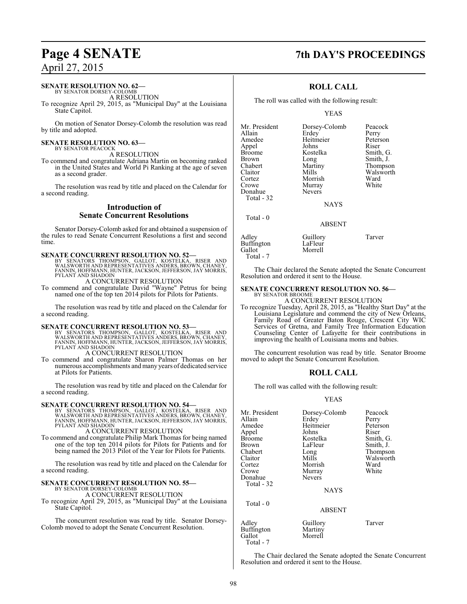### **SENATE RESOLUTION NO. 62—**

BY SENATOR DORSEY-COLOMB A RESOLUTION

To recognize April 29, 2015, as "Municipal Day" at the Louisiana State Capitol.

On motion of Senator Dorsey-Colomb the resolution was read by title and adopted.

#### **SENATE RESOLUTION NO. 63—** BY SENATOR PEACOCK

A RESOLUTION

To commend and congratulate Adriana Martin on becoming ranked in the United States and World Pi Ranking at the age of seven as a second grader.

The resolution was read by title and placed on the Calendar for a second reading.

### **Introduction of Senate Concurrent Resolutions**

Senator Dorsey-Colomb asked for and obtained a suspension of the rules to read Senate Concurrent Resolutions a first and second time.

#### **SENATE CONCURRENT RESOLUTION NO. 52—**

BY SENATORS THOMPSON, GALLOT, KOSTELKA, RISER AND<br>WALSWORTHAND REPRESENTATIVES ANDERS,BROWN,CHANEY,<br>FANNIN,HOFFMANN,HUNTER,JACKSON,JEFFERSON,JAY MORRIS, PYLANT AND SHADOIN

A CONCURRENT RESOLUTION

To commend and congratulate David "Wayne" Petrus for being named one of the top ten 2014 pilots for Pilots for Patients.

The resolution was read by title and placed on the Calendar for a second reading.

**SENATE CONCURRENT RESOLUTION NO. 53—**<br>BY SENATORS THOMPSON, GALLOT, KOSTELKA, RISER AND<br>WALSWORTH AND REPRESENTATIVES ANDERS, BROWN, CHANEY,<br>FANNIN, HOFFMANN, HUNTER, JACKSON, JEFFERSON, JAY MORRIS,<br>PYLANT AND SHADOIN

A CONCURRENT RESOLUTION

To commend and congratulate Sharon Palmer Thomas on her numerous accomplishments andmany years of dedicated service at Pilots for Patients.

The resolution was read by title and placed on the Calendar for a second reading.

**SENATE CONCURRENT RESOLUTION NO. 54—**<br>BY SENATORS THOMPSON, GALLOT, KOSTELKA, RISER AND<br>WALSWORTH AND REPRESENTATIVES ANDERS, BROWN, CHANEY,<br>FANNIN, HOFFMANN, HUNTER, JACKSON, JEFFERSON, JAY MORRIS,<br>PYLANT AND SHADOIN

A CONCURRENT RESOLUTION

To commend and congratulate Philip Mark Thomas for being named one of the top ten 2014 pilots for Pilots for Patients and for being named the 2013 Pilot of the Year for Pilots for Patients.

The resolution was read by title and placed on the Calendar for a second reading.

#### **SENATE CONCURRENT RESOLUTION NO. 55—**

BY SENATOR DORSEY-COLOMB A CONCURRENT RESOLUTION

To recognize April 29, 2015, as "Municipal Day" at the Louisiana State Capitol.

The concurrent resolution was read by title. Senator Dorsey-Colomb moved to adopt the Senate Concurrent Resolution.

## **Page 4 SENATE 7th DAY'S PROCEEDINGS**

### **ROLL CALL**

The roll was called with the following result:

#### YEAS

Mr. President Dorsey-Colomb Peacock<br>Allain Erdey Perry Allain Erdey Perry<br>
Amedee Heitmeier Peterson Appel Johns<br>Broome Kostelka Broome Kostelka Smith, G.<br>Brown Long Smith, J. Brown Long Smith, J.<br>
Chabert Martiny Thompso Chabert Martiny Thompson<br>Claitor Mills Walsworth Claitor Mills Walsworth Cortez Morrish Ward<br>Crowe Murray White Donahue Total - 32

Total - 0

Murray<br>Nevers

Heitmeier Peters<br>Johns Riser

**NAYS** 

#### ABSENT

| Adley      | Guillory | Tarver |
|------------|----------|--------|
| Buffington | LaFleur  |        |
| Gallot     | Morrell  |        |
| Total - 7  |          |        |

The Chair declared the Senate adopted the Senate Concurrent Resolution and ordered it sent to the House.

#### **SENATE CONCURRENT RESOLUTION NO. 56—**

BY SENATOR BROOME A CONCURRENT RESOLUTION

To recognize Tuesday, April 28, 2015, as "Healthy Start Day" at the Louisiana Legislature and commend the city of New Orleans, Family Road of Greater Baton Rouge, Crescent City WIC Services of Gretna, and Family Tree Information Education Counseling Center of Lafayette for their contributions in improving the health of Louisiana moms and babies.

The concurrent resolution was read by title. Senator Broome moved to adopt the Senate Concurrent Resolution.

### **ROLL CALL**

The roll was called with the following result:

#### YEAS

| Mr. President<br>Allain<br>Amedee<br>Appel<br>Broome<br>Brown<br>Chabert<br>Claitor<br>Cortez<br>Crowe<br>Donahue<br>Total - 32 | Dorsey-Colomb<br>Erdey<br>Heitmeier<br>Johns<br>Kostelka<br>LaFleur<br>Long<br>Mills<br>Morrish<br>Murray<br><b>Nevers</b><br><b>NAYS</b> | Peacock<br>Perry<br>Peterson<br>Riser<br>Smith, G.<br>Smith, J.<br>Thompson<br>Walsworth<br>Ward<br>White |
|---------------------------------------------------------------------------------------------------------------------------------|-------------------------------------------------------------------------------------------------------------------------------------------|-----------------------------------------------------------------------------------------------------------|
| Total - 0                                                                                                                       | <b>ABSENT</b>                                                                                                                             |                                                                                                           |
| Adley                                                                                                                           | Guillory                                                                                                                                  | Tarver                                                                                                    |

Morrell Total - 7 The Chair declared the Senate adopted the Senate Concurrent Resolution and ordered it sent to the House.

Buffington Martiny<br>Gallot Morrell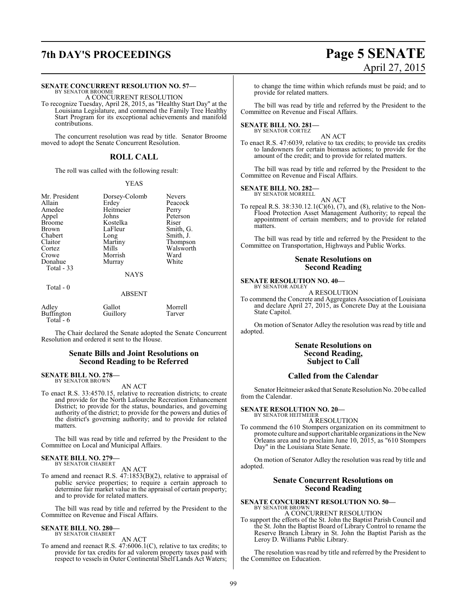## **7th DAY'S PROCEEDINGS Page 5 SENATE**

#### **SENATE CONCURRENT RESOLUTION NO. 57—**

BY SENATOR BROOME A CONCURRENT RESOLUTION

To recognize Tuesday, April 28, 2015, as "Healthy Start Day" at the Louisiana Legislature, and commend the Family Tree Healthy Start Program for its exceptional achievements and manifold contributions.

The concurrent resolution was read by title. Senator Broome moved to adopt the Senate Concurrent Resolution.

#### **ROLL CALL**

The roll was called with the following result:

#### YEAS

| Mr. President | Dorsey-Colomb | <b>Nevers</b> |
|---------------|---------------|---------------|
| Allain        | Erdey         | Peacoc        |
| Amedee        | Heitmeier     | Perry         |
| Appel         | Johns         | Petersc       |
| <b>Broome</b> | Kostelka      | Riser         |
| Brown         | LaFleur       | Smith,        |
| Chabert       | Long          | Smith,        |
| Claitor       | Martiny       | Thomp         |
| Cortez        | Mills         | Walsw         |
| Crowe         | Morrish       | Ward          |
| Donahue       | Murray        | White         |
| Total - 33    |               |               |
|               | <b>NAYS</b>   |               |
|               |               |               |

## eitmeier<br>hns belka<br>Pleur ng<br>
artiny Smith, J.<br>
Thompso artiny Thompson<br>ills Walsworth explorerish Ward<br>
United White<br>
White

Peacock<br>Perry

Peterson<br>Riser

Smith, G.

Walsworth<br>Ward

#### Total - 0

## ABSENT

| Adley       | Gallot   | Morrell |
|-------------|----------|---------|
| Buffington  | Guillory | Tarver  |
| Total - $6$ |          |         |

The Chair declared the Senate adopted the Senate Concurrent Resolution and ordered it sent to the House.

#### **Senate Bills and Joint Resolutions on Second Reading to be Referred**

## **SENATE BILL NO. 278—** BY SENATOR BROWN

AN ACT

To enact R.S. 33:4570.15, relative to recreation districts; to create and provide for the North Lafourche Recreation Enhancement District; to provide for the status, boundaries, and governing authority of the district; to provide for the powers and duties of the district's governing authority; and to provide for related matters.

The bill was read by title and referred by the President to the Committee on Local and Municipal Affairs.

#### **SENATE BILL NO. 279—** BY SENATOR CHABERT

AN ACT

To amend and reenact R.S. 47:1853(B)(2), relative to appraisal of public service properties; to require a certain approach to determine fair market value in the appraisal of certain property; and to provide for related matters.

The bill was read by title and referred by the President to the Committee on Revenue and Fiscal Affairs.

## **SENATE BILL NO. 280—** BY SENATOR CHABERT

AN ACT

To amend and reenact R.S. 47:6006.1(C), relative to tax credits; to provide for tax credits for ad valorem property taxes paid with respect to vessels in Outer Continental Shelf Lands Act Waters;

to change the time within which refunds must be paid; and to provide for related matters.

The bill was read by title and referred by the President to the Committee on Revenue and Fiscal Affairs.

## **SENATE BILL NO. 281—** BY SENATOR CORTEZ

AN ACT

To enact R.S. 47:6039, relative to tax credits; to provide tax credits to landowners for certain biomass actions; to provide for the amount of the credit; and to provide for related matters.

The bill was read by title and referred by the President to the Committee on Revenue and Fiscal Affairs.

#### **SENATE BILL NO. 282—**

BY SENATOR MORRELL AN ACT

To repeal R.S. 38:330.12.1(C)(6), (7), and (8), relative to the Non-Flood Protection Asset Management Authority; to repeal the appointment of certain members; and to provide for related matters.

The bill was read by title and referred by the President to the Committee on Transportation, Highways and Public Works.

#### **Senate Resolutions on Second Reading**

## **SENATE RESOLUTION NO. 40–**<br>BY SENATOR ADLEY

A RESOLUTION

To commend the Concrete and Aggregates Association of Louisiana and declare April 27, 2015, as Concrete Day at the Louisiana State Capitol.

On motion of Senator Adley the resolution was read by title and adopted.

### **Senate Resolutions on Second Reading, Subject to Call**

#### **Called from the Calendar**

Senator Heitmeier asked that Senate Resolution No. 20 be called from the Calendar.

## **SENATE RESOLUTION NO. 20—**<br>BY SENATOR HEITMEIER

A RESOLUTION

To commend the 610 Stompers organization on its commitment to promote culture and support charitable organizations in the New Orleans area and to proclaim June 10, 2015, as "610 Stompers Day" in the Louisiana State Senate.

On motion of Senator Adley the resolution was read by title and adopted.

#### **Senate Concurrent Resolutions on Second Reading**

## **SENATE CONCURRENT RESOLUTION NO. 50—** BY SENATOR BROWN

A CONCURRENT RESOLUTION

To support the efforts of the St. John the Baptist Parish Council and the St. John the Baptist Board of Library Control to rename the Reserve Branch Library in St. John the Baptist Parish as the Leroy D. Williams Public Library.

The resolution was read by title and referred by the President to the Committee on Education.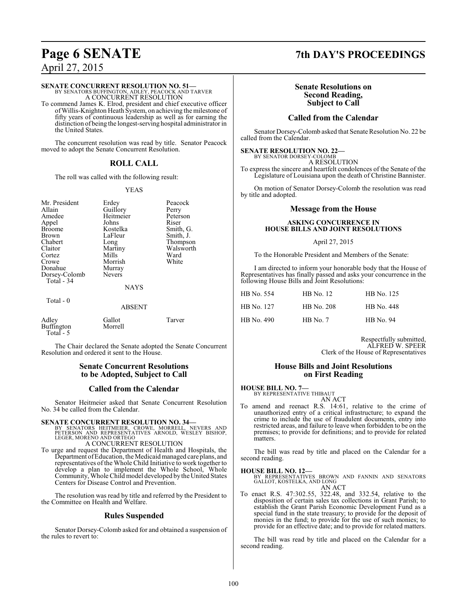### **SENATE CONCURRENT RESOLUTION NO. 51—**

BY SENATORS BUFFINGTON, ADLEY, PEACOCK AND TARVER A CONCURRENT RESOLUTION To commend James K. Elrod, president and chief executive officer

ofWillis-Knighton Heath System, on achieving the milestone of fifty years of continuous leadership as well as for earning the distinction of being the longest-serving hospital administrator in the United States.

The concurrent resolution was read by title. Senator Peacock moved to adopt the Senate Concurrent Resolution.

### **ROLL CALL**

The roll was called with the following result:

#### YEAS

| Mr. President<br>Allain<br>Amedee<br>Appel<br><b>Broome</b><br><b>Brown</b><br>Chabert<br>Claitor<br>Cortez<br>Crowe<br>Donahue<br>Dorsey-Colomb | Erdey<br>Guillory<br>Heitmeier<br>Johns<br>Kostelka<br>LaFleur<br>Long<br>Martiny<br>Mills<br>Morrish<br>Murray<br><b>Nevers</b> | Peacock<br>Perry<br>Peterson<br>Riser<br>Smith, G.<br>Smith, J.<br>Thompson<br>Walsworth<br>Ward<br>White |
|--------------------------------------------------------------------------------------------------------------------------------------------------|----------------------------------------------------------------------------------------------------------------------------------|-----------------------------------------------------------------------------------------------------------|
| Total - 34                                                                                                                                       | <b>NAYS</b>                                                                                                                      |                                                                                                           |
| Total - 0                                                                                                                                        | <b>ABSENT</b>                                                                                                                    |                                                                                                           |
| Adley<br><b>Buffington</b><br>Total $-5$                                                                                                         | Gallot<br>Morrell                                                                                                                | Tarver                                                                                                    |

The Chair declared the Senate adopted the Senate Concurrent Resolution and ordered it sent to the House.

### **Senate Concurrent Resolutions to be Adopted, Subject to Call**

### **Called from the Calendar**

Senator Heitmeier asked that Senate Concurrent Resolution No. 34 be called from the Calendar.

- **SENATE CONCURRENT RESOLUTION NO. 34—**<br>
BY SENATORS HEITMEER, CROWE, MORRELL, NEVERS AND<br>
PETERSON AND REPRESENTATIVES ARNOLD, WESLEY BISHOP,<br>
LEGER, MORENO AND ORTEGO<br>
A CONCURRENT RESOLUTION
- To urge and request the Department of Health and Hospitals, the Department of Education, the Medicaid managed care plans, and representatives of the Whole Child Initiative to work together to develop a plan to implement the Whole School, Whole Community, Whole Child model developed by the United States Centers for Disease Control and Prevention.

The resolution was read by title and referred by the President to the Committee on Health and Welfare.

### **Rules Suspended**

Senator Dorsey-Colomb asked for and obtained a suspension of the rules to revert to:

## **Page 6 SENATE 7th DAY'S PROCEEDINGS**

### **Senate Resolutions on Second Reading, Subject to Call**

### **Called from the Calendar**

Senator Dorsey-Colomb asked that Senate Resolution No. 22 be called from the Calendar.

### **SENATE RESOLUTION NO. 22—**

BY SENATOR DORSEY-COLOMB A RESOLUTION

To express the sincere and heartfelt condolences of the Senate of the Legislature of Louisiana upon the death of Christine Bannister.

On motion of Senator Dorsey-Colomb the resolution was read by title and adopted.

### **Message from the House**

### **ASKING CONCURRENCE IN HOUSE BILLS AND JOINT RESOLUTIONS**

#### April 27, 2015

To the Honorable President and Members of the Senate:

I am directed to inform your honorable body that the House of Representatives has finally passed and asks your concurrence in the following House Bills and Joint Resolutions:

| HB No. 554 | HB No. 12  | HB No. 125        |
|------------|------------|-------------------|
| HB No. 127 | HB No. 208 | <b>HB</b> No. 448 |
| HB No. 490 | $HB$ No. 7 | <b>HB</b> No. 94  |

Respectfully submitted, ALFRED W. SPEER Clerk of the House of Representatives

### **House Bills and Joint Resolutions on First Reading**

#### **HOUSE BILL NO. 7—**

BY REPRESENTATIVE THIBAUT AN ACT

To amend and reenact R.S. 14:61, relative to the crime of unauthorized entry of a critical infrastructure; to expand the crime to include the use of fraudulent documents, entry into restricted areas, and failure to leave when forbidden to be on the premises; to provide for definitions; and to provide for related matters.

The bill was read by title and placed on the Calendar for a second reading.

#### **HOUSE BILL NO. 12—**

BY REPRESENTATIVES BROWN AND FANNIN AND SENATORS GALLOT, KOSTELKA, AND LONG AN ACT

To enact R.S. 47:302.55, 322.48, and 332.54, relative to the disposition of certain sales tax collections in Grant Parish; to establish the Grant Parish Economic Development Fund as a special fund in the state treasury; to provide for the deposit of monies in the fund; to provide for the use of such monies; to provide for an effective date; and to provide for related matters.

The bill was read by title and placed on the Calendar for a second reading.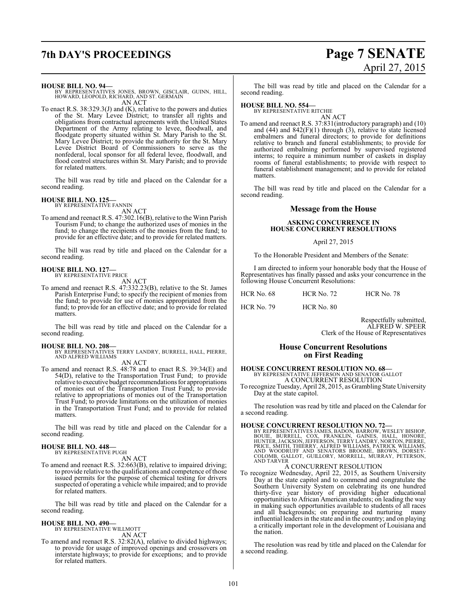## **7th DAY'S PROCEEDINGS Page 7 SENATE** April 27, 2015

**HOUSE BILL NO. 94—**

BY REPRESENTATIVES JONES, BROWN, GISCLAIR, GUINN, HILL, HOWARD, LEOPOLD, RICHARD, AND ST. GERMAIN AN ACT

To enact R.S. 38:329.3(J) and (K), relative to the powers and duties of the St. Mary Levee District; to transfer all rights and obligations from contractual agreements with the United States Department of the Army relating to levee, floodwall, and floodgate property situated within St. Mary Parish to the St. Mary Levee District; to provide the authority for the St. Mary Levee District Board of Commissioners to serve as the nonfederal, local sponsor for all federal levee, floodwall, and flood control structures within St. Mary Parish; and to provide for related matters.

The bill was read by title and placed on the Calendar for a second reading.

#### **HOUSE BILL NO. 125—**

BY REPRESENTATIVE FANNIN AN ACT

To amend and reenact R.S. 47:302.16(B), relative to the Winn Parish Tourism Fund; to change the authorized uses of monies in the fund; to change the recipients of the monies from the fund; to provide for an effective date; and to provide for related matters.

The bill was read by title and placed on the Calendar for a second reading.

#### **HOUSE BILL NO. 127—** BY REPRESENTATIVE PRICE

AN ACT

To amend and reenact R.S. 47:332.23(B), relative to the St. James Parish Enterprise Fund; to specify the recipient of monies from the fund; to provide for use of monies appropriated from the fund; to provide for an effective date; and to provide for related matters.

The bill was read by title and placed on the Calendar for a second reading.

**HOUSE BILL NO. 208—** BY REPRESENTATIVES TERRY LANDRY, BURRELL, HALL, PIERRE, AND ALFRED WILLIAMS

AN ACT

To amend and reenact R.S. 48:78 and to enact R.S. 39:34(E) and 54(D), relative to the Transportation Trust Fund; to provide relative to executive budget recommendations for appropriations of monies out of the Transportation Trust Fund; to provide relative to appropriations of monies out of the Transportation Trust Fund; to provide limitations on the utilization of monies in the Transportation Trust Fund; and to provide for related matters.

The bill was read by title and placed on the Calendar for a second reading.

#### **HOUSE BILL NO. 448—** BY REPRESENTATIVE PUGH

AN ACT

To amend and reenact R.S. 32:663(B), relative to impaired driving; to provide relative to the qualifications and competence ofthose issued permits for the purpose of chemical testing for drivers suspected of operating a vehicle while impaired; and to provide for related matters.

The bill was read by title and placed on the Calendar for a second reading.

#### **HOUSE BILL NO. 490—** BY REPRESENTATIVE WILLMOTT

AN ACT

To amend and reenact R.S. 32:82(A), relative to divided highways; to provide for usage of improved openings and crossovers on interstate highways; to provide for exceptions; and to provide for related matters.

The bill was read by title and placed on the Calendar for a second reading.

### **HOUSE BILL NO. 554—**

BY REPRESENTATIVE RITCHIE AN ACT

To amend and reenact R.S. 37:831(introductory paragraph) and (10) and  $(44)$  and  $842(F)(1)$  through  $(3)$ , relative to state licensed embalmers and funeral directors; to provide for definitions relative to branch and funeral establishments; to provide for authorized embalming performed by supervised registered interns; to require a minimum number of caskets in display rooms of funeral establishments; to provide with respect to funeral establishment management; and to provide for related matters.

The bill was read by title and placed on the Calendar for a second reading.

### **Message from the House**

#### **ASKING CONCURRENCE IN HOUSE CONCURRENT RESOLUTIONS**

#### April 27, 2015

To the Honorable President and Members of the Senate:

I am directed to inform your honorable body that the House of Representatives has finally passed and asks your concurrence in the following House Concurrent Resolutions:

| HCR No. 68        | <b>HCR No. 72</b> | HCR No. 78 |
|-------------------|-------------------|------------|
| <b>HCR No. 79</b> | HCR No. 80        |            |

Respectfully submitted, ALFRED W. SPEER Clerk of the House of Representatives

### **House Concurrent Resolutions on First Reading**

### **HOUSE CONCURRENT RESOLUTION NO. 68—** BY REPRESENTATIVE JEFFERSON AND SENATOR GALLOT A CONCURRENT RESOLUTION

To recognize Tuesday, April 28, 2015, as Grambling State University Day at the state capitol.

The resolution was read by title and placed on the Calendar for a second reading.

**HOUSE CONCURRENT RESOLUTION NO. 72—**<br>BY REPRESENTATIVES JAMES, BADON, BARROW, WESLEY BISHOP,<br>BOUIE, BURRELL, COX, FRANKLIN, GAINES, HALL, HONORE,<br>HUNTER, JACKSON, JEFFERSON, TERRY LANDRY, NORTON, PIERRE,<br>PRICE, SMITH, THI **AND TARVER** 

### A CONCURRENT RESOLUTION

To recognize Wednesday, April 22, 2015, as Southern University Day at the state capitol and to commend and congratulate the Southern University System on celebrating its one hundred thirty-five year history of providing higher educational opportunities to African American students; on leading the way in making such opportunities available to students of all races and all backgrounds; on preparing and nurturing many influential leaders in the state and in the country; and on playing a critically important role in the development of Louisiana and the nation.

The resolution was read by title and placed on the Calendar for a second reading.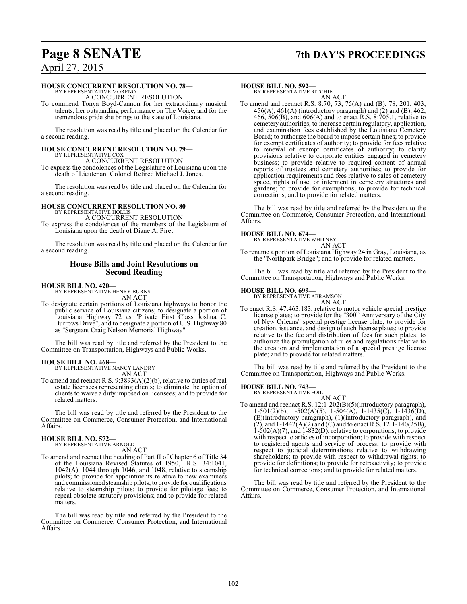## **Page 8 SENATE 7th DAY'S PROCEEDINGS**

## April 27, 2015

#### **HOUSE CONCURRENT RESOLUTION NO. 78—**

BY REPRESENTATIVE MORENO A CONCURRENT RESOLUTION

To commend Tonya Boyd-Cannon for her extraordinary musical talents, her outstanding performance on The Voice, and for the tremendous pride she brings to the state of Louisiana.

The resolution was read by title and placed on the Calendar for a second reading.

## **HOUSE CONCURRENT RESOLUTION NO. 79—** BY REPRESENTATIVE COX

A CONCURRENT RESOLUTION

To express the condolences of the Legislature of Louisiana upon the death of Lieutenant Colonel Retired Michael J. Jones.

The resolution was read by title and placed on the Calendar for a second reading.

## **HOUSE CONCURRENT RESOLUTION NO. 80—** BY REPRESENTATIVE HOLLIS

A CONCURRENT RESOLUTION To express the condolences of the members of the Legislature of Louisiana upon the death of Diane A. Piret.

The resolution was read by title and placed on the Calendar for a second reading.

#### **House Bills and Joint Resolutions on Second Reading**

### **HOUSE BILL NO. 420—**

BY REPRESENTATIVE HENRY BURNS AN ACT

To designate certain portions of Louisiana highways to honor the public service of Louisiana citizens; to designate a portion of Louisiana Highway 72 as "Private First Class Joshua C. Burrows Drive"; and to designate a portion of U.S. Highway 80 as "Sergeant Craig Nelson Memorial Highway".

The bill was read by title and referred by the President to the Committee on Transportation, Highways and Public Works.

#### **HOUSE BILL NO. 468—**

BY REPRESENTATIVE NANCY LANDRY AN ACT

To amend and reenact R.S. 9:3893(A)(2)(b), relative to duties of real estate licensees representing clients; to eliminate the option of clients to waive a duty imposed on licensees; and to provide for related matters.

The bill was read by title and referred by the President to the Committee on Commerce, Consumer Protection, and International Affairs.

#### **HOUSE BILL NO. 572—** BY REPRESENTATIVE ARNOLD

AN ACT

To amend and reenact the heading of Part II of Chapter 6 of Title 34 of the Louisiana Revised Statutes of 1950, R.S. 34:1041, 1042(A), 1044 through 1046, and 1048, relative to steamship pilots; to provide for appointments relative to new examiners and commissioned steamship pilots; to provide for qualifications relative to steamship pilots; to provide for pilotage fees; to repeal obsolete statutory provisions; and to provide for related matters.

The bill was read by title and referred by the President to the Committee on Commerce, Consumer Protection, and International Affairs.

#### **HOUSE BILL NO. 592—**

BY REPRESENTATIVE RITCHIE AN ACT

To amend and reenact R.S. 8:70, 73, 75(A) and (B), 78, 201, 403,  $456(A)$ ,  $461(A)$  (introductory paragraph) and  $(2)$  and  $(B)$ ,  $462$ , 466, 506(B), and 606(A) and to enact R.S. 8:705.1, relative to cemetery authorities; to increase certain regulatory, application, and examination fees established by the Louisiana Cemetery Board; to authorize the board to impose certain fines; to provide for exempt certificates of authority; to provide for fees relative to renewal of exempt certificates of authority; to clarify provisions relative to corporate entities engaged in cemetery business; to provide relative to required content of annual reports of trustees and cemetery authorities; to provide for application requirements and fees relative to sales of cemetery space, rights of use, or interment in cemetery structures and gardens; to provide for exemptions; to provide for technical corrections; and to provide for related matters.

The bill was read by title and referred by the President to the Committee on Commerce, Consumer Protection, and International Affairs.

## **HOUSE BILL NO. 674—** BY REPRESENTATIVE WHITNEY

AN ACT To rename a portion of Louisiana Highway 24 in Gray, Louisiana, as the "Northpark Bridge"; and to provide for related matters.

The bill was read by title and referred by the President to the Committee on Transportation, Highways and Public Works.

#### **HOUSE BILL NO. 699—**

BY REPRESENTATIVE ABRAMSON AN ACT

To enact R.S. 47:463.183, relative to motor vehicle special prestige license plates; to provide for the "300<sup>th</sup> Anniversary of the City of New Orleans" special prestige license plate; to provide for creation, issuance, and design of such license plates; to provide relative to the fee and distribution of fees for such plates; to authorize the promulgation of rules and regulations relative to the creation and implementation of a special prestige license plate; and to provide for related matters.

The bill was read by title and referred by the President to the Committee on Transportation, Highways and Public Works.

#### **HOUSE BILL NO. 743—** BY REPRESENTATIVE FOIL

AN ACT

To amend and reenact R.S. 12:1-202(B)(5)(introductory paragraph), 1-501(2)(b), 1-502(A)(5), 1-504(A), 1-1435(C), 1-1436(D), (E)(introductory paragraph), (1)(introductory paragraph), and (2), and  $1-1442(A)(2)$  and (C) and to enact R.S.  $12:1-140(25B)$ , 1-502(A)(7), and 1-832(D), relative to corporations; to provide with respect to articles of incorporation; to provide with respect to registered agents and service of process; to provide with respect to judicial determinations relative to withdrawing shareholders; to provide with respect to withdrawal rights; to provide for definitions; to provide for retroactivity; to provide for technical corrections; and to provide for related matters.

The bill was read by title and referred by the President to the Committee on Commerce, Consumer Protection, and International Affairs.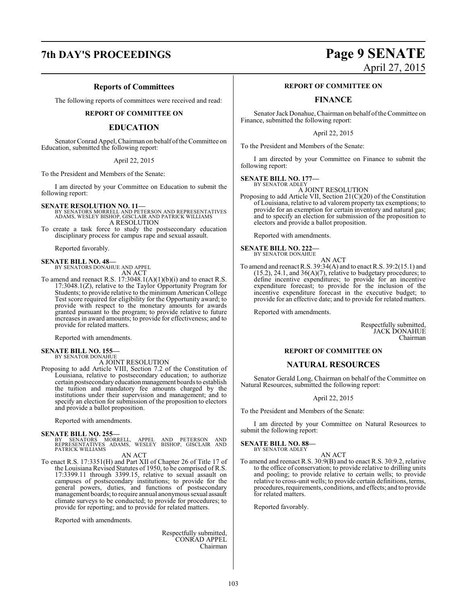#### **Reports of Committees**

The following reports of committees were received and read:

#### **REPORT OF COMMITTEE ON**

#### **EDUCATION**

Senator Conrad Appel, Chairman on behalf ofthe Committee on Education, submitted the following report:

#### April 22, 2015

To the President and Members of the Senate:

I am directed by your Committee on Education to submit the following report:

**SENATE RESOLUTION NO. 11—** BY SENATORS MORRELL AND PETERSON AND REPRESENTATIVES ADAMS, WESLEY BISHOP, GISCLAIR AND PATRICK WILLIAMS A RESOLUTION

To create a task force to study the postsecondary education disciplinary process for campus rape and sexual assault.

Reported favorably.

## **SENATE BILL NO. 48—** BY SENATORS DONAHUE AND APPEL

AN ACT

To amend and reenact R.S. 17:3048.1(A)(1)(b)(i) and to enact R.S. 17:3048.1(Z), relative to the Taylor Opportunity Program for Students; to provide relative to the minimum American College Test score required for eligibility for the Opportunity award; to provide with respect to the monetary amounts for awards granted pursuant to the program; to provide relative to future increases in award amounts; to provide for effectiveness; and to provide for related matters.

Reported with amendments.

## **SENATE BILL NO. 155—** BY SENATOR DONAHUE

A JOINT RESOLUTION

Proposing to add Article VIII, Section 7.2 of the Constitution of Louisiana, relative to postsecondary education; to authorize certain postsecondaryeducationmanagement boards to establish the tuition and mandatory fee amounts charged by the institutions under their supervision and management; and to specify an election for submission of the proposition to electors and provide a ballot proposition.

Reported with amendments.

**SENATE BILL NO. 255—**<br>BY SENATORS MORRELL, APPEL AND PETERSON AND<br>REPRESENTATIVES ADAMS, WESLEY BISHOP, GISCLAIR AND<br>PATRICK WILLIAMS

AN ACT

To enact R.S. 17:3351(H) and Part XII of Chapter 26 of Title 17 of the Louisiana Revised Statutes of 1950, to be comprised of R.S. 17:3399.11 through 3399.15, relative to sexual assault on campuses of postsecondary institutions; to provide for the general powers, duties, and functions of postsecondary management boards; to require annual anonymous sexual assault climate surveys to be conducted; to provide for procedures; to provide for reporting; and to provide for related matters.

Reported with amendments.

Respectfully submitted, CONRAD APPEL Chairman

## **7th DAY'S PROCEEDINGS Page 9 SENATE** April 27, 2015

#### **REPORT OF COMMITTEE ON**

### **FINANCE**

Senator JackDonahue, Chairman on behalf ofthe Committee on Finance, submitted the following report:

April 22, 2015

To the President and Members of the Senate:

I am directed by your Committee on Finance to submit the following report:

**SENATE BILL NO. 177—** BY SENATOR ADLEY

A JOINT RESOLUTION

Proposing to add Article VII, Section 21(C)(20) of the Constitution of Louisiana, relative to ad valorem property tax exemptions; to provide for an exemption for certain inventory and natural gas; and to specify an election for submission of the proposition to electors and provide a ballot proposition.

Reported with amendments.

**SENATE BILL NO. 222—** BY SENATOR DONAHUE

- AN ACT To amend and reenact R.S. 39:34(A) and to enact R.S. 39:2(15.1) and
- $(15.2), 24.1,$  and  $36(A)(7)$ , relative to budgetary procedures; to define incentive expenditures; to provide for an incentive expenditure forecast; to provide for the inclusion of the incentive expenditure forecast in the executive budget; to provide for an effective date; and to provide for related matters.

Reported with amendments.

Respectfully submitted, JACK DONAHUE Chairman

#### **REPORT OF COMMITTEE ON**

#### **NATURAL RESOURCES**

Senator Gerald Long, Chairman on behalf of the Committee on Natural Resources, submitted the following report:

#### April 22, 2015

To the President and Members of the Senate:

I am directed by your Committee on Natural Resources to submit the following report:

**SENATE BILL NO. 88—** BY SENATOR ADLEY

#### AN ACT

To amend and reenact R.S. 30:9(B) and to enact R.S. 30:9.2, relative to the office of conservation; to provide relative to drilling units and pooling; to provide relative to certain wells; to provide relative to cross-unit wells; to provide certain definitions, terms, procedures, requirements, conditions, and effects; and to provide for related matters.

Reported favorably.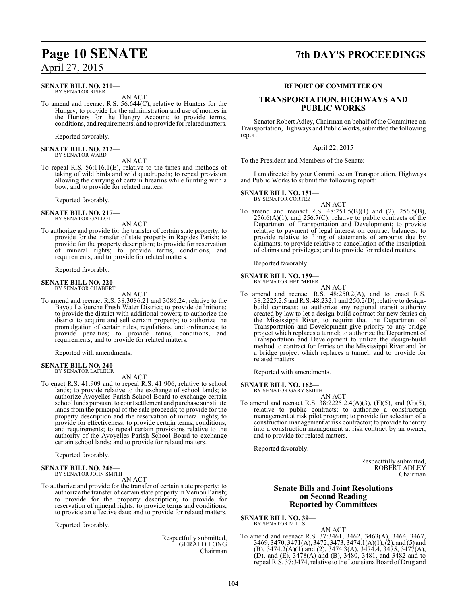**SENATE BILL NO. 210—** BY SENATOR RISER

AN ACT

To amend and reenact R.S. 56:644(C), relative to Hunters for the Hungry; to provide for the administration and use of monies in the Hunters for the Hungry Account; to provide terms, conditions, and requirements; and to provide forrelated matters.

Reported favorably.

#### **SENATE BILL NO. 212—** BY SENATOR WARD

AN ACT

To repeal R.S. 56:116.1(E), relative to the times and methods of taking of wild birds and wild quadrupeds; to repeal provision allowing the carrying of certain firearms while hunting with a bow; and to provide for related matters.

Reported favorably.

#### **SENATE BILL NO. 217—** BY SENATOR GALLOT

AN ACT

To authorize and provide for the transfer of certain state property; to provide for the transfer of state property in Rapides Parish; to provide for the property description; to provide for reservation of mineral rights; to provide terms, conditions, and requirements; and to provide for related matters.

Reported favorably.

#### **SENATE BILL NO. 220—** BY SENATOR CHABERT

AN ACT

To amend and reenact R.S. 38:3086.21 and 3086.24, relative to the Bayou Lafourche Fresh Water District; to provide definitions; to provide the district with additional powers; to authorize the district to acquire and sell certain property; to authorize the promulgation of certain rules, regulations, and ordinances; to provide penalties; to provide terms, conditions, and requirements; and to provide for related matters.

Reported with amendments.

## **SENATE BILL NO. 240—** BY SENATOR LAFLEUR

AN ACT

To enact R.S. 41:909 and to repeal R.S. 41:906, relative to school lands; to provide relative to the exchange of school lands; to authorize Avoyelles Parish School Board to exchange certain school lands pursuant to court settlement and purchase substitute lands from the principal of the sale proceeds; to provide for the property description and the reservation of mineral rights; to provide for effectiveness; to provide certain terms, conditions, and requirements; to repeal certain provisions relative to the authority of the Avoyelles Parish School Board to exchange certain school lands; and to provide for related matters.

Reported favorably.

#### **SENATE BILL NO. 246—** BY SENATOR JOHN SMITH

AN ACT

To authorize and provide for the transfer of certain state property; to authorize the transfer of certain state property in Vernon Parish; to provide for the property description; to provide for reservation of mineral rights; to provide terms and conditions; to provide an effective date; and to provide for related matters.

Reported favorably.

Respectfully submitted, GERALD LONG Chairman

## **Page 10 SENATE 7th DAY'S PROCEEDINGS**

#### **REPORT OF COMMITTEE ON**

### **TRANSPORTATION, HIGHWAYS AND PUBLIC WORKS**

Senator Robert Adley, Chairman on behalf of the Committee on Transportation, Highways and Public Works, submitted the following report:

#### April 22, 2015

To the President and Members of the Senate:

I am directed by your Committee on Transportation, Highways and Public Works to submit the following report:

#### **SENATE BILL NO. 151—** BY SENATOR CORTEZ

AN ACT

To amend and reenact R.S. 48:251.5(B)(1) and (2), 256.5(B),  $256.6(A)(1)$ , and  $256.7(C)$ , relative to public contracts of the Department of Transportation and Development; to provide relative to payment of legal interest on contract balances; to provide relative to filing of statements of amounts due by claimants; to provide relative to cancellation of the inscription of claims and privileges; and to provide for related matters.

Reported favorably.

#### **SENATE BILL NO. 159—** BY SENATOR HEITMEIER

AN ACT

To amend and reenact R.S. 48:250.2(A), and to enact R.S. 38:2225.2.5 and R.S. 48:232.1 and 250.2(D), relative to designbuild contracts; to authorize any regional transit authority created by law to let a design-build contract for new ferries on the Mississippi River; to require that the Department of Transportation and Development give priority to any bridge project which replaces a tunnel; to authorize the Department of Transportation and Development to utilize the design-build method to contract for ferries on the Mississippi River and for a bridge project which replaces a tunnel; and to provide for related matters.

Reported with amendments.

### **SENATE BILL NO. 162—**

BY SENATOR GARY SMITH

AN ACT To amend and reenact R.S. 38:2225.2.4(A)(3), (F)(5), and (G)(5), relative to public contracts; to authorize a construction management at risk pilot program; to provide for selection of a construction management at risk contractor; to provide for entry into a construction management at risk contract by an owner; and to provide for related matters.

Reported favorably.

Respectfully submitted, ROBERT ADLEY Chairman

#### **Senate Bills and Joint Resolutions on Second Reading Reported by Committees**

**SENATE BILL NO. 39—** BY SENATOR MILLS

AN ACT

To amend and reenact R.S. 37:3461, 3462, 3463(A), 3464, 3467, 3469, 3470, 3471(A), 3472, 3473, 3474.1(A)(1), (2), and (5) and (B), 3474.2(A)(1) and (2), 3474.3(A), 3474.4, 3475, 3477(A), (D), and (E), 3478(A) and (B), 3480, 3481, and 3482 and to repeal R.S. 37:3474, relative to the Louisiana Board of Drug and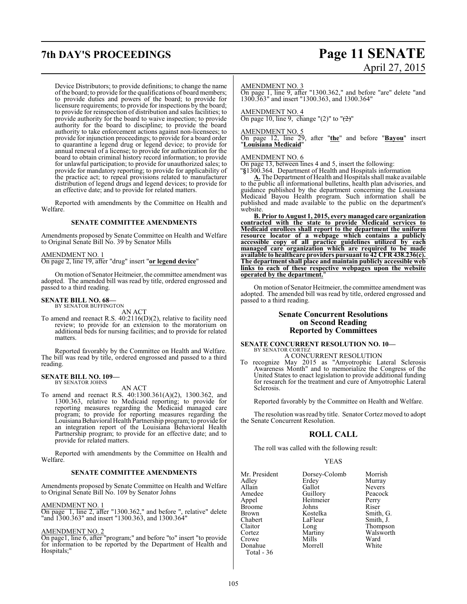## **7th DAY'S PROCEEDINGS Page 11 SENATE**

Device Distributors; to provide definitions; to change the name ofthe board; to provide for the qualifications of board members; to provide duties and powers of the board; to provide for licensure requirements; to provide for inspections by the board; to provide for reinspection of distribution and sales facilities; to provide authority for the board to waive inspection; to provide authority for the board to discipline; to provide the board authority to take enforcement actions against non-licensees; to provide for injunction proceedings; to provide for a board order to quarantine a legend drug or legend device; to provide for annual renewal of a license; to provide for authorization for the board to obtain criminal history record information; to provide for unlawful participation; to provide for unauthorized sales; to provide for mandatory reporting; to provide for applicability of the practice act; to repeal provisions related to manufacturer distribution of legend drugs and legend devices; to provide for an effective date; and to provide for related matters.

Reported with amendments by the Committee on Health and Welfare.

#### **SENATE COMMITTEE AMENDMENTS**

Amendments proposed by Senate Committee on Health and Welfare to Original Senate Bill No. 39 by Senator Mills

#### AMENDMENT NO. 1

On page 2, line 19, after "drug" insert "**or legend device**"

On motion of Senator Heitmeier, the committee amendment was adopted. The amended bill was read by title, ordered engrossed and passed to a third reading.

#### **SENATE BILL NO. 68—** BY SENATOR BUFFINGTON

AN ACT

To amend and reenact R.S. 40:2116(D)(2), relative to facility need review; to provide for an extension to the moratorium on additional beds for nursing facilities; and to provide for related matters.

Reported favorably by the Committee on Health and Welfare. The bill was read by title, ordered engrossed and passed to a third reading.

## **SENATE BILL NO. 109—** BY SENATOR JOHNS

AN ACT

To amend and reenact R.S. 40:1300.361(A)(2), 1300.362, and 1300.363, relative to Medicaid reporting; to provide for reporting measures regarding the Medicaid managed care program; to provide for reporting measures regarding the LouisianaBehavioral Health Partnership program; to provide for an integration report of the Louisiana Behavioral Health Partnership program; to provide for an effective date; and to provide for related matters.

Reported with amendments by the Committee on Health and Welfare.

#### **SENATE COMMITTEE AMENDMENTS**

Amendments proposed by Senate Committee on Health and Welfare to Original Senate Bill No. 109 by Senator Johns

#### AMENDMENT NO. 1

On page 1, line 2, after "1300.362," and before ", relative" delete "and 1300.363" and insert "1300.363, and 1300.364"

#### AMENDMENT NO. 2

On page1, line 6, after "program;" and before "to" insert "to provide for information to be reported by the Department of Health and Hospitals;"

# April 27, 2015

#### AMENDMENT NO. 3

On page 1, line 9, after "1300.362," and before "are" delete "and 1300.363" and insert "1300.363, and 1300.364"

AMENDMENT NO. 4 On page 10, line 9, change " $(2)$ " to " $\left(\frac{2}{2}\right)$ "

#### AMENDMENT NO. 5

On page 12, line 29, after "**the**" and before "**Bayou**" insert "**Louisiana Medicaid**"

#### AMENDMENT NO. 6

On page 13, between lines 4 and 5, insert the following:

"**§**1300.364. Department of Health and Hospitals information

**A.** The Department of Health and Hospitals shall make available to the public all informational bulletins, health plan advisories, and guidance published by the department concerning the Louisiana Medicaid Bayou Health program. Such information shall be published and made available to the public on the department's website.

**B. Prior to August 1, 2015, every managed care organization contracted with the state to provide Medicaid services to Medicaid enrollees shall report to the department the uniform resource locator of a webpage which contains a publicly accessible copy of all practice guidelines utilized by each managed care organization which are required to be made available to healthcare providers pursuant to 42 CFR 438.236(c). The departmentshall place and maintain publicly accessible web links to each of these respective webpages upon the website operated by the department.**"

On motion of Senator Heitmeier, the committee amendment was adopted. The amended bill was read by title, ordered engrossed and passed to a third reading.

### **Senate Concurrent Resolutions on Second Reading Reported by Committees**

#### **SENATE CONCURRENT RESOLUTION NO. 10—** BY SENATOR CORTEZ

A CONCURRENT RESOLUTION To recognize May 2015 as "Amyotrophic Lateral Sclerosis Awareness Month" and to memorialize the Congress of the United States to enact legislation to provide additional funding for research for the treatment and cure of Amyotrophic Lateral Sclerosis.

Reported favorably by the Committee on Health and Welfare.

The resolution was read by title. Senator Cortez moved to adopt the Senate Concurrent Resolution.

### **ROLL CALL**

The roll was called with the following result:

#### YEAS

| Mr. President | Dorsey-Colomb | Morrish       |
|---------------|---------------|---------------|
| Adley         | Erdey         | Murray        |
| Allain        | Gallot        | <b>Nevers</b> |
| Amedee        | Guillory      | Peacock       |
| Appel         | Heitmeier     | Perry         |
| <b>Broome</b> | Johns         | Riser         |
| <b>Brown</b>  | Kostelka      | Smith, G.     |
| Chabert       | LaFleur       | Smith, J.     |
| Claitor       | Long          | Thompson      |
| Cortez        | Martiny       | Walsworth     |
| Crowe         | Mills         | Ward          |
| Donahue       | Morrell       | White         |
| Total - 36    |               |               |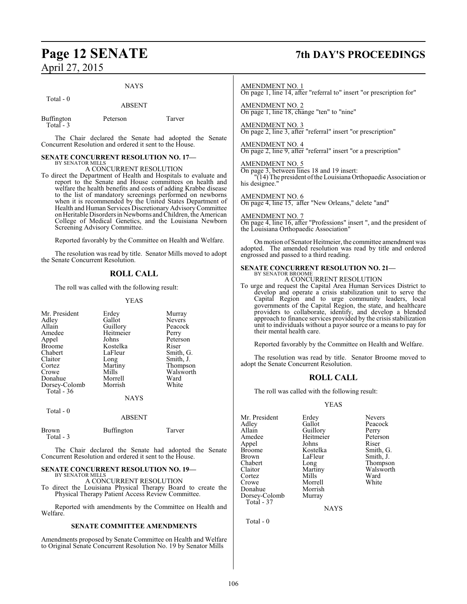## **Page 12 SENATE 7th DAY'S PROCEEDINGS**

| April 27, $201$ |  |  |
|-----------------|--|--|
|                 |  |  |

## NAYS Total - 0 ABSENT

| Buffington | Peterson | Tarver |
|------------|----------|--------|
| Total - 3  |          |        |

The Chair declared the Senate had adopted the Senate Concurrent Resolution and ordered it sent to the House.

#### **SENATE CONCURRENT RESOLUTION NO. 17—** BY SENATOR MILLS

A CONCURRENT RESOLUTION

To direct the Department of Health and Hospitals to evaluate and report to the Senate and House committees on health and welfare the health benefits and costs of adding Krabbe disease to the list of mandatory screenings performed on newborns when it is recommended by the United States Department of Health and Human Services Discretionary Advisory Committee on Heritable Disorders in Newborns and Children, the American College of Medical Genetics, and the Louisiana Newborn Screening Advisory Committee.

Reported favorably by the Committee on Health and Welfare.

The resolution was read by title. Senator Mills moved to adopt the Senate Concurrent Resolution.

### **ROLL CALL**

The roll was called with the following result:

YEAS

| Mr. President | Erdey     | Murray        |
|---------------|-----------|---------------|
| Adley         | Gallot    | <b>Nevers</b> |
| Allain        | Guillory  | Peacock       |
| Amedee        | Heitmeier | Perry         |
| Appel         | Johns     | Peterson      |
| <b>Broome</b> | Kostelka  | Riser         |
| Chabert       | LaFleur   | Smith, G.     |
| Claitor       | Long      | Smith, J.     |
| Cortez        | Martiny   | Thompson      |
| Crowe         | Mills     | Walsworth     |
| Donahue       | Morrell   | Ward          |
| Dorsey-Colomb | Morrish   | White         |
| Total - 36    |           |               |
|               | NAYS      |               |

Total - 0

ABSENT

| Brown     | <b>Buffington</b> | Tarver |
|-----------|-------------------|--------|
| Total - 3 |                   |        |

The Chair declared the Senate had adopted the Senate Concurrent Resolution and ordered it sent to the House.

#### **SENATE CONCURRENT RESOLUTION NO. 19—** BY SENATOR MILLS

A CONCURRENT RESOLUTION

To direct the Louisiana Physical Therapy Board to create the Physical Therapy Patient Access Review Committee.

Reported with amendments by the Committee on Health and Welfare.

#### **SENATE COMMITTEE AMENDMENTS**

Amendments proposed by Senate Committee on Health and Welfare to Original Senate Concurrent Resolution No. 19 by Senator Mills

#### AMENDMENT NO. 1

On page 1, line 14, after "referral to" insert "or prescription for"

AMENDMENT NO. 2 On page 1, line 18, change "ten" to "nine"

### AMENDMENT NO. 3

On page 2, line 3, after "referral" insert "or prescription"

### AMENDMENT NO. 4

On page 2, line 9, after "referral" insert "or a prescription"

### AMENDMENT NO. 5

On page 3, between lines 18 and 19 insert:

"(14) The president ofthe Louisiana Orthopaedic Association or his designee."

#### AMENDMENT NO. 6

On page 4, line 15, after "New Orleans," delete "and"

#### AMENDMENT NO. 7

On page 4, line 16, after "Professions" insert ", and the president of the Louisiana Orthopaedic Association"

On motion of Senator Heitmeier, the committee amendment was adopted. The amended resolution was read by title and ordered engrossed and passed to a third reading.

#### **SENATE CONCURRENT RESOLUTION NO. 21—** BY SENATOR BROOME A CONCURRENT RESOLUTION

To urge and request the Capital Area Human Services District to develop and operate a crisis stabilization unit to serve the Capital Region and to urge community leaders, local governments of the Capital Region, the state, and healthcare providers to collaborate, identify, and develop a blended approach to finance services provided by the crisis stabilization unit to individuals without a payor source or a means to pay for their mental health care.

Reported favorably by the Committee on Health and Welfare.

The resolution was read by title. Senator Broome moved to adopt the Senate Concurrent Resolution.

### **ROLL CALL**

The roll was called with the following result:

#### YEAS

| Mr. President | Erdey     | <b>Nevers</b> |
|---------------|-----------|---------------|
| Adley         | Gallot    | Peacock       |
| Allain        | Guillory  | Perry         |
| Amedee        | Heitmeier | Peterson      |
| Appel         | Johns     | Riser         |
| Broome        | Kostelka  | Smith, G.     |
| Brown         | LaFleur   | Smith, J.     |
| Chabert       | Long      | Thompson      |
| Claitor       | Martiny   | Walsworth     |
| Cortez        | Mills     | Ward          |
| Crowe         | Morrell   | White         |
| Donahue       | Morrish   |               |
| Dorsey-Colomb | Murray    |               |
| Total - 37    |           |               |

**NAYS** 

Total - 0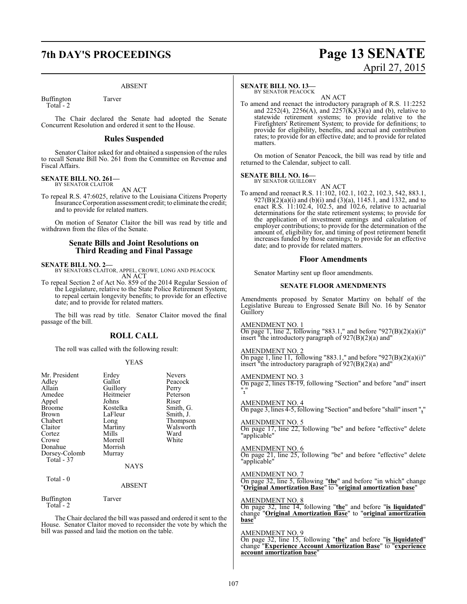## **7th DAY'S PROCEEDINGS Page 13 SENATE**

#### ABSENT

Buffington Tarver Total - 2

The Chair declared the Senate had adopted the Senate Concurrent Resolution and ordered it sent to the House.

#### **Rules Suspended**

Senator Claitor asked for and obtained a suspension of the rules to recall Senate Bill No. 261 from the Committee on Revenue and Fiscal Affairs.

#### **SENATE BILL NO. 261—** BY SENATOR CLAITOR

AN ACT

To repeal R.S. 47:6025, relative to the Louisiana Citizens Property Insurance Corporation assessment credit; to eliminate the credit; and to provide for related matters.

On motion of Senator Claitor the bill was read by title and withdrawn from the files of the Senate.

### **Senate Bills and Joint Resolutions on Third Reading and Final Passage**

**SENATE BILL NO. 2—**<br>BY SENATORS CLAITOR, APPEL, CROWE, LONG AND PEACOCK<br>AN ACT

To repeal Section 2 of Act No. 859 of the 2014 Regular Session of the Legislature, relative to the State Police Retirement System; to repeal certain longevity benefits; to provide for an effective date; and to provide for related matters.

The bill was read by title. Senator Claitor moved the final passage of the bill.

### **ROLL CALL**

The roll was called with the following result:

#### YEAS

| Mr. President<br>Adley<br>Allain<br>Amedee<br>Appel<br><b>Broome</b><br>Brown<br>Chabert<br>Claitor<br>Cortez<br>Crowe<br>Donahue<br>Dorsey-Colomb<br>Total - 37 | Erdey<br>Gallot<br>Guillory<br>Heitmeier<br>Johns<br>Kostelka<br>LaFleur<br>Long<br>Martiny<br>Mills<br>Morrell<br>Morrish<br>Murray<br><b>NAYS</b> | Nevers<br>Peacock<br>Perry<br>Peterson<br>Riser<br>Smith, G.<br>Smith, J.<br>Thompson<br>Walsworth<br>Ward<br>White |
|------------------------------------------------------------------------------------------------------------------------------------------------------------------|-----------------------------------------------------------------------------------------------------------------------------------------------------|---------------------------------------------------------------------------------------------------------------------|
| Total - 0                                                                                                                                                        | ABSENT                                                                                                                                              |                                                                                                                     |
| <b>Buffington</b><br>Total $-2$                                                                                                                                  | Tarver                                                                                                                                              |                                                                                                                     |

The Chair declared the bill was passed and ordered it sent to the House. Senator Claitor moved to reconsider the vote by which the bill was passed and laid the motion on the table.

#### **SENATE BILL NO. 13—**

BY SENATOR PEACOCK

AN ACT To amend and reenact the introductory paragraph of R.S. 11:2252 and 2252(4), 2256(A), and 2257( $\hat{K}$ )(3)(a) and (b), relative to statewide retirement systems; to provide relative to the Firefighters' Retirement System; to provide for definitions; to provide for eligibility, benefits, and accrual and contribution rates; to provide for an effective date; and to provide for related matters.

April 27, 2015

On motion of Senator Peacock, the bill was read by title and returned to the Calendar, subject to call.

#### **SENATE BILL NO. 16—** BY SENATOR GUILLORY

AN ACT

To amend and reenact R.S. 11:102, 102.1, 102.2, 102.3, 542, 883.1, 927(B)(2)(a)(i) and (b)(i) and (3)(a), 1145.1, and 1332, and to enact R.S. 11:102.4, 102.5, and 102.6, relative to actuarial determinations for the state retirement systems; to provide for the application of investment earnings and calculation of employer contributions; to provide for the determination of the amount of, eligibility for, and timing of post retirement benefit increases funded by those earnings; to provide for an effective date; and to provide for related matters.

#### **Floor Amendments**

Senator Martiny sent up floor amendments.

#### **SENATE FLOOR AMENDMENTS**

Amendments proposed by Senator Martiny on behalf of the Legislative Bureau to Engrossed Senate Bill No. 16 by Senator Guillory

AMENDMENT NO. 1

On page 1, line 2, following "883.1," and before "927(B)(2)(a)(i)" insert "the introductory paragraph of 927(B)(2)(a) and"

#### AMENDMENT NO. 2

On page 1, line 11, following "883.1," and before "927 $(B)(2)(a)(i)$ " insert "the introductory paragraph of  $927(B)(2)(a)$  and"

AMENDMENT NO. 3

On page 2, lines 18-19, following "Section" and before "and" insert "**,**"

AMENDMENT NO. 4

On page 3, lines 4-5, following "Section" and before "shall" insert "**,**"

AMENDMENT NO. 5 On page 17, line 22, following "be" and before "effective" delete "applicable"

AMENDMENT NO. 6

On page 21, line 25, following "be" and before "effective" delete "applicable"

AMENDMENT NO. 7

On page 32, line 5, following "**the**" and before "in which" change "**Original Amortization Base**" to "**original amortization base**"

AMENDMENT NO. 8

On page 32, line 14, following "**the**" and before "**is liquidated**" change "**Original Amortization Base**" to "**original amortization base**"

#### AMENDMENT NO. 9

On page 32, line 15, following "**the**" and before "**is liquidated**" change "**Experience Account Amortization Base**" to "**experience account amortization base**"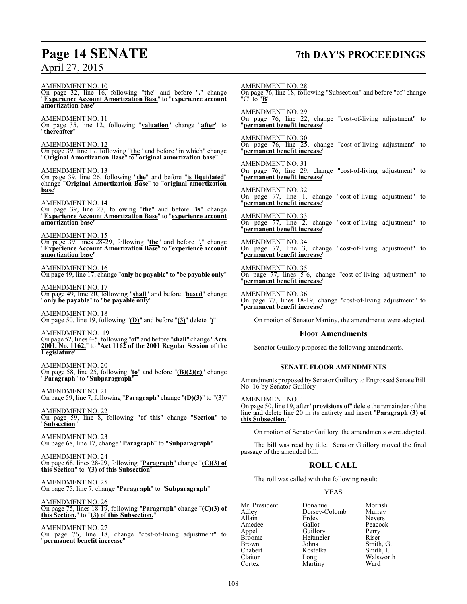## **Page 14 SENATE 7th DAY'S PROCEEDINGS**

AMENDMENT NO. 10 On page 32, line 16, following "**the**" and before "**.**" change "**Experience Account Amortization Base**" to "**experience account amortization base**" AMENDMENT NO. 11 On page 35, line 12, following "**valuation**" change "**after**" to "**thereafter**" AMENDMENT NO. 12 On page 39, line 17, following "**the**" and before "in which" change "**Original Amortization Base**" to "**original amortization base**" AMENDMENT NO. 13 On page 39, line 26, following "**the**" and before "**is liquidated**" change "**Original Amortization Base**" to "**original amortization** base<sup>"</sup> AMENDMENT NO. 14 On page 39, line 27, following "**the**" and before "**is**" change "**Experience Account Amortization Base**" to "**experience account amortization base**" AMENDMENT NO. 15 On page 39, lines 28-29, following "**the**" and before "**.**" change "**Experience Account Amortization Base**" to "**experience account amortization base**" AMENDMENT NO. 16 On page 49, line 17, change "**only be payable**" to "**be payable only**" AMENDMENT NO. 17 On page 49, line 20, following "**shall**" and before "**based**" change "**only be payable**" to "**be payable only**" AMENDMENT NO. 18 On page 50, line 19, following "**(D)**" and before "**(3)**" delete "**)**" AMENDMENT NO. 19 On page 52, lines 4-5, following "**of**" and before "**shall**" change "**Acts 2001, No. 1162,**" to "**Act 1162 of the 2001 Regular Session of the Legislature**" AMENDMENT NO. 20 On page 58, line 25, following "**to**" and before "**(B)(2)(c)**" change "**Paragraph**" to "**Subparagraph**" AMENDMENT NO. 21 On page 59, line 7, following "**Paragraph**" change "**(D)(3)**" to "**(3)**" AMENDMENT NO. 22 On page 59, line 8, following "**of this**" change "**Section**" to "**Subsection**" AMENDMENT NO. 23 On page 68, line 17, change "**Paragraph**" to "**Subparagraph**" AMENDMENT NO. 24 On page 68, lines 28-29, following "**Paragraph**" change "**(C)(3) of this Section**" to "**(3) of this Subsection**" AMENDMENT NO. 25 On page 75, line 7, change "**Paragraph**" to "**Subparagraph**" AMENDMENT NO. 26 On page 75, lines 18-19, following "**Paragraph**" change "**(C)(3) of this Section.**" to "**(3) of this Subsection.**" AMENDMENT NO. 27 On page 76, line 18, change "cost-of-living adjustment" to "**permanent benefit increase**" "C" to "**B**"

AMENDMENT NO. 28 On page 76, line 18, following "Subsection" and before "of" change

AMENDMENT NO. 29 On page 76, line 22, change "cost-of-living adjustment" to "**permanent benefit increase**"

AMENDMENT NO. 30 On page 76, line 25, change "cost-of-living adjustment" to "**permanent benefit increase**"

AMENDMENT NO. 31 On page 76, line 29, change "cost-of-living adjustment" to "**permanent benefit increase**"

AMENDMENT NO. 32 On page 77, line 1, change "cost-of-living adjustment" to "**permanent benefit increase**"

AMENDMENT NO. 33 On page 77, line 2, change "cost-of-living adjustment" to "**permanent benefit increase**"

AMENDMENT NO. 34 On page 77, line 3, change "cost-of-living adjustment" to "**permanent benefit increase**"

AMENDMENT NO. 35 On page 77, lines 5-6, change "cost-of-living adjustment" to "**permanent benefit increase**"

AMENDMENT NO. 36 On page 77, lines 18-19, change "cost-of-living adjustment" to "**permanent benefit increase**"

On motion of Senator Martiny, the amendments were adopted.

#### **Floor Amendments**

Senator Guillory proposed the following amendments.

#### **SENATE FLOOR AMENDMENTS**

Amendments proposed by Senator Guillory to Engrossed Senate Bill No. 16 by Senator Guillory

AMENDMENT NO. 1 On page 50, line 19, after "**provisions of**" delete the remainder of the line and delete line 20 in its entirety and insert "**Paragraph (3) of this Subsection.**"

On motion of Senator Guillory, the amendments were adopted.

The bill was read by title. Senator Guillory moved the final passage of the amended bill.

### **ROLL CALL**

The roll was called with the following result:

YEAS

Mr. President Donahue Morrish<br>Adley Dorsey-Colomb Murray Adley Dorsey-Colomb Murray Allain Erdey<br>Amedee Gallot Amedee Gallot Peacock<br>
Appel Guillory Perry Appel Guillory Perry<br>Broome Heitmeier Riser Broome Heitmeier<br>Brown Johns Brown Johns Smith, G.<br>Chabert Kostelka Smith, J. Chabert Kostelka<br>Claitor Long Claitor Long Walsworth<br>
Cortez Martiny Ward Martiny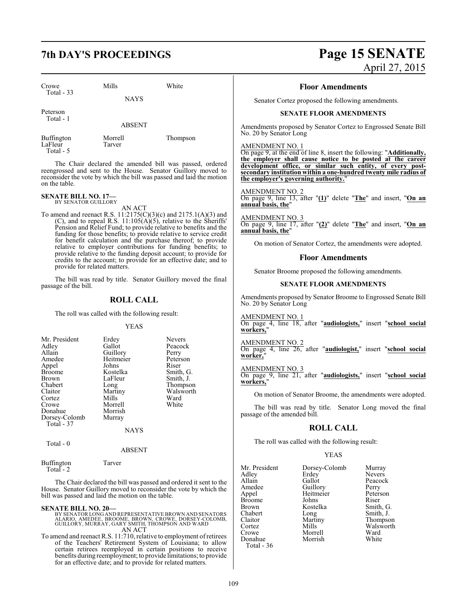Crowe Mills White Total - 33

NAYS

Peterson Total - 1

ABSENT

LaFleur Total - 5

Buffington Morrell Thompson<br>
LaFleur Tarver

The Chair declared the amended bill was passed, ordered reengrossed and sent to the House. Senator Guillory moved to reconsider the vote by which the bill was passed and laid the motion on the table.

#### **SENATE BILL NO. 17—** BY SENATOR GUILLORY

AN ACT

To amend and reenact R.S. 11:2175(C)(3)(c) and 2175.1(A)(3) and  $(C)$ , and to repeal R.S.  $11:105(A)(5)$ , relative to the Sheriffs' Pension and Relief Fund; to provide relative to benefits and the funding for those benefits; to provide relative to service credit for benefit calculation and the purchase thereof; to provide relative to employer contributions for funding benefits; to provide relative to the funding deposit account; to provide for credits to the account; to provide for an effective date; and to provide for related matters.

The bill was read by title. Senator Guillory moved the final passage of the bill.

### **ROLL CALL**

The roll was called with the following result:

YEAS

| Mr. President | Erdey       | <b>Nevers</b> |
|---------------|-------------|---------------|
| Adley         | Gallot      | Peacock       |
| Allain        | Guillory    | Perry         |
| Amedee        | Heitmeier   | Peterson      |
| Appel         | Johns       | Riser         |
| Broome        | Kostelka    | Smith, G.     |
| Brown         | LaFleur     | Smith, J.     |
| Chabert       | Long        | Thompson      |
| Claitor       | Martiny     | Walsworth     |
| Cortez        | Mills       | Ward          |
| Crowe         | Morrell     | White         |
| Donahue       | Morrish     |               |
| Dorsey-Colomb | Murray      |               |
| Total - 37    |             |               |
|               | <b>NAYS</b> |               |
| $Total - 0$   |             |               |

Total - 0

ABSENT

Buffington Tarver Total  $-2$ 

The Chair declared the bill was passed and ordered it sent to the House. Senator Guillory moved to reconsider the vote by which the bill was passed and laid the motion on the table.

**SENATE BILL NO. 20—** BY SENATORLONG AND REPRESENTATIVE BROWN AND SENATORS ALARIO, AMEDEE, BROOME, BROWN, CROWE, DORSEY-COLOMB, GUILLORY, MURRAY, GARY SMITH, THOMPSON AND WARD AN ACT

To amend and reenact R.S. 11:710, relative to employment ofretirees of the Teachers' Retirement System of Louisiana; to allow certain retirees reemployed in certain positions to receive benefits during reemployment; to provide limitations; to provide for an effective date; and to provide for related matters.

## **7th DAY'S PROCEEDINGS Page 15 SENATE** April 27, 2015

#### **Floor Amendments**

Senator Cortez proposed the following amendments.

#### **SENATE FLOOR AMENDMENTS**

Amendments proposed by Senator Cortez to Engrossed Senate Bill No. 20 by Senator Long

AMENDMENT NO. 1

On page 9, at the end of line 8, insert the following: "**Additionally, the employer shall cause notice to be posted at the career development office, or similar such entity, of every postsecondary institution within a one-hundred twenty mile radius of the employer's governing authority.**"

AMENDMENT NO. 2 On page 9, line 13, after "**(1)**" delete "**The**" and insert, "**On an annual basis, the**"

AMENDMENT NO. 3 On page 9, line 17, after "**(2)**" delete "**The**" and insert, "**On an annual basis, the**"

On motion of Senator Cortez, the amendments were adopted.

### **Floor Amendments**

Senator Broome proposed the following amendments.

#### **SENATE FLOOR AMENDMENTS**

Amendments proposed by Senator Broome to Engrossed Senate Bill No. 20 by Senator Long

AMENDMENT NO. 1 On page 4, line 18, after "**audiologists,**" insert "**school social workers,**"

AMENDMENT NO. 2 On page 4, line 26, after "**audiologist,**" insert "**school social worker,**"

AMENDMENT NO. 3 On page 9, line 21, after "**audiologists,**" insert "**school social workers,**"

On motion of Senator Broome, the amendments were adopted.

The bill was read by title. Senator Long moved the final passage of the amended bill.

### **ROLL CALL**

The roll was called with the following result:

#### YEAS

| Mr. President | Dorsey-Colomb | Murray        |
|---------------|---------------|---------------|
| Adley         | Erdey         | <b>Nevers</b> |
| Allain        | Gallot        | Peacock       |
| Amedee        | Guillory      | Perry         |
| Appel         | Heitmeier     | Peterson      |
| <b>Broome</b> | Johns         | Riser         |
| <b>Brown</b>  | Kostelka      | Smith, G.     |
| Chabert       | Long          | Smith, J.     |
| Claitor       | Martiny       | Thompson      |
| Cortez        | Mills         | Walsworth     |
| Crowe         | Morrell       | Ward          |
| Donahue       | Morrish       | White         |
| Total - 36    |               |               |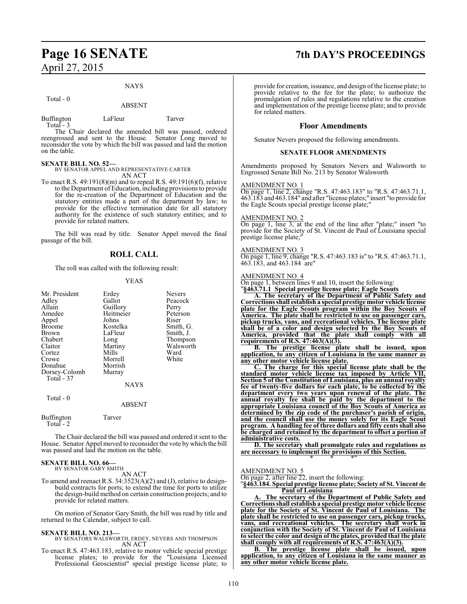## **Page 16 SENATE 7th DAY'S PROCEEDINGS** April 27, 2015

#### NAYS

#### Total - 0

#### ABSENT

Buffington LaFleur Tarver Total - 3

The Chair declared the amended bill was passed, ordered reengrossed and sent to the House. Senator Long moved to reconsider the vote by which the bill was passed and laid the motion on the table.

**SENATE BILL NO. 52—** BY SENATOR APPEL AND REPRESENTATIVE CARTER AN ACT

To enact R.S. 49:191(8)(m) and to repeal R.S. 49:191(6)(f), relative to the Department of Education, including provisions to provide for the re-creation of the Department of Education and the statutory entities made a part of the department by law; to provide for the effective termination date for all statutory authority for the existence of such statutory entities; and to provide for related matters.

The bill was read by title. Senator Appel moved the final passage of the bill.

#### **ROLL CALL**

The roll was called with the following result:

#### YEAS

| Mr. President<br>Adley<br>Allain<br>Amedee<br>Appel<br>Broome<br>Brown<br>Chabert<br>Claitor | Erdey<br>Gallot<br>Guillory<br>Heitmeier<br>Johns<br>Kostelka<br>LaFleur<br>Long<br>Martiny | <b>Nevers</b><br>Peacock<br>Perry<br>Peterson<br>Riser<br>Smith, G.<br>Smith, J.<br>Thompson<br>Walsworth |
|----------------------------------------------------------------------------------------------|---------------------------------------------------------------------------------------------|-----------------------------------------------------------------------------------------------------------|
| Cortez<br>Crowe                                                                              | Mills<br>Morrell                                                                            | Ward<br>White                                                                                             |
| Donahue<br>Dorsey-Colomb                                                                     | Morrish<br>Murray                                                                           |                                                                                                           |
| Total - 37                                                                                   | <b>NAYS</b>                                                                                 |                                                                                                           |
| Total - 0                                                                                    | <b>ABSENT</b>                                                                               |                                                                                                           |
| Buffington<br>Total - 2                                                                      | Tarver                                                                                      |                                                                                                           |

The Chair declared the bill was passed and ordered it sent to the House. Senator Appel moved to reconsider the vote by which the bill was passed and laid the motion on the table.

#### **SENATE BILL NO. 66—**

BY SENATOR GARY SMITH AN ACT

To amend and reenact R.S. 34:3523(A)(2) and (J), relative to designbuild contracts for ports; to extend the time for ports to utilize the design-build method on certain construction projects; and to provide for related matters.

On motion of Senator Gary Smith, the bill was read by title and returned to the Calendar, subject to call.

#### **SENATE BILL NO. 213—**

- BY SENATORS WALSWORTH, ERDEY, NEVERS AND THOMPSON AN ACT
- To enact R.S. 47:463.183, relative to motor vehicle special prestige license plates; to provide for the "Louisiana Licensed Professional Geoscientist" special prestige license plate; to

provide for creation, issuance, and design of the license plate; to provide relative to the fee for the plate; to authorize the promulgation of rules and regulations relative to the creation and implementation of the prestige license plate; and to provide for related matters.

#### **Floor Amendments**

Senator Nevers proposed the following amendments.

#### **SENATE FLOOR AMENDMENTS**

Amendments proposed by Senators Nevers and Walsworth to Engrossed Senate Bill No. 213 by Senator Walsworth

#### AMENDMENT NO. 1

On page 1, line 2, change "R.S. 47:463.183" to "R.S. 47:463.71.1, 463.183 and 463.184" and after "license plates;" insert "to provide for the Eagle Scouts special prestige license plate;"

#### AMENDMENT NO. 2

On page 1, line 3, at the end of the line after "plate;" insert "to provide for the Society of St. Vincent de Paul of Louisiana special prestige license plate;"

#### AMENDMENT NO. 3

On page 1, line 9, change "R.S. 47:463.183 is" to "R.S. 47:463.71.1, 463.183, and 463.184 are"

#### AMENDMENT NO. 4

On page 1, between lines 9 and 10, insert the following: "**§463.71.1 Special prestige license plate; Eagle Scouts**

**A. The secretary of the Department of Public Safety and Correctionsshall establish a special prestige motor vehicle license plate for the Eagle Scouts program within the Boy Scouts of America. The plate shall be restricted to use on passenger cars, pickup trucks, vans, and recreational vehicles. The license plate shall be of a color and design selected by the Boy Scouts of America, provided that the plate shall comply with all requirements of R.S. 47:463(A)(3).**

**B. The prestige license plate shall be issued, upon application, to any citizen of Louisiana in the same manner as any other motor vehicle license plate.**

**C. The charge for this special license plate shall be the standard motor vehicle license tax imposed by Article VII, Section 5 of the Constitution of Louisiana, plus an annual royalty fee of twenty-five dollars for each plate, to be collected by the department every two years upon renewal of the plate. The annual royalty fee shall be paid by the department to the appropriate Louisiana council of the Boy Scouts of America as determined by the zip code of the purchaser's parish of origin, and the council shall use the money solely for its Eagle Scout program. A handling fee of three dollars and fifty cents shall also be charged and retained by the department to offset a portion of administrative costs.**

**D. The secretary shall promulgate rules and regulations as are necessary to implement the provisions of this Section.** \* \* \*"

#### AMENDMENT NO. 5

On page 2, after line 22, insert the following:

"**§463.184. Special prestige license plate; Society of St. Vincent de Paul of Louisiana**

**A. The secretary of the Department of Public Safety and Correctionsshall establish a special prestige motor vehicle license plate for the Society of St. Vincent de Paul of Louisiana. The plate shall be restricted to use on passenger cars, pickup trucks, vans, and recreational vehicles. The secretary shall work in conjunction with the Society of St. Vincent de Paul of Louisiana to select the color and design of the plates, provided that the plate shall comply with all requirements of R.S. 47:463(A)(3).**

**B. The prestige license plate shall be issued, upon application, to any citizen of Louisiana in the same manner as any other motor vehicle license plate.**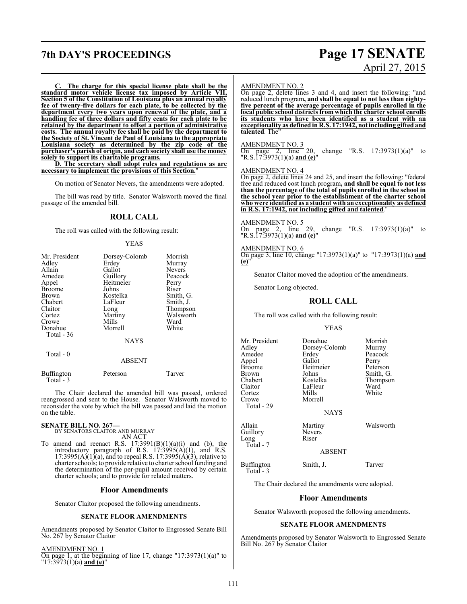## **7th DAY'S PROCEEDINGS Page 17 SENATE**

# April 27, 2015

**C. The charge for this special license plate shall be the standard motor vehicle license tax imposed by Article VII, Section 5 of the Constitution of Louisiana plus an annual royalty fee of twenty-five dollars for each plate, to be collected by the department every two years upon renewal of the plate, and a handling fee of three dollars and fifty cents for each plate to be retained by the department to offset a portion of administrative costs. The annual royalty fee shall be paid by the department to the Society of St. Vincent de Paul of Louisiana to the appropriate Louisiana society as determined by the zip code of the purchaser's parish of origin, and each society shall use the money solely to support its charitable programs.**

**D. The secretary shall adopt rules and regulations as are necessary to implement the provisions of this Section.**"

On motion of Senator Nevers, the amendments were adopted.

The bill was read by title. Senator Walsworth moved the final passage of the amended bill.

#### **ROLL CALL**

The roll was called with the following result:

#### YEAS

| Mr. President     | Dorsey-Colomb | Morrish       |
|-------------------|---------------|---------------|
| Adley             | Erdey         | Murray        |
| Allain            | Gallot        | <b>Nevers</b> |
| Amedee            | Guillory      | Peacock       |
| Appel             | Heitmeier     | Perry         |
| <b>Broome</b>     | Johns         | Riser         |
| Brown             | Kostelka      | Smith, G.     |
| Chabert           | LaFleur       | Smith, J.     |
| Claitor           | Long          | Thompson      |
| Cortez            | Martiny       | Walsworth     |
| Crowe             | Mills         | Ward          |
| Donahue           | Morrell       | White         |
| Total - 36        |               |               |
|                   | <b>NAYS</b>   |               |
| Total $-0$        |               |               |
|                   | <b>ABSENT</b> |               |
| <b>Buffington</b> | Peterson      | Tarver        |

The Chair declared the amended bill was passed, ordered reengrossed and sent to the House. Senator Walsworth moved to reconsider the vote by which the bill was passed and laid the motion on the table.

## **SENATE BILL NO. 267—** BY SENATORS CLAITOR AND MURRAY

Total - 3

AN ACT

To amend and reenact R.S.  $17:3991(B)(1)(a)(i)$  and (b), the introductory paragraph of R.S.  $17:3995(A)(1)$ , and R.S.  $17:3995(A)(1)(a)$ , and to repeal R.S.  $17:3995(A)(3)$ , relative to charter schools; to provide relative to charter school funding and the determination of the per-pupil amount received by certain charter schools; and to provide for related matters.

#### **Floor Amendments**

Senator Claitor proposed the following amendments.

#### **SENATE FLOOR AMENDMENTS**

Amendments proposed by Senator Claitor to Engrossed Senate Bill No. 267 by Senator Claitor

AMENDMENT NO. 1 On page 1, at the beginning of line 17, change "17:3973(1)(a)" to "17:3973(1)(a) **and (e)**"

#### AMENDMENT NO. 2

On page 2, delete lines 3 and 4, and insert the following: "and reduced lunch program**, and shall be equal to not less than eightyfive percent of the average percentage of pupils enrolled in the local public school districts from which the charter school enrolls its students who have been identified as a student with an exceptionality as defined in R.S. 17:1942, not including gifted and talented**. The"

#### AMENDMENT NO. 3

change "R.S.  $17:3973(1)(a)$ " to "R.S.17:3973(1)(a) **and (e)**"

#### AMENDMENT NO. 4

On page 2, delete lines 24 and 25, and insert the following: "federal free and reduced cost lunch program**, and shall be equal to not less than the percentage of the total of pupils enrolled in the school in the school year prior to the establishment of the charter school who were identified as a student with an exceptionality as defined** in R.S. 17:1942, not including gifted and talented.

#### AMENDMENT NO. 5

On page 2, line 29, change "R.S.  $17:3973(1)(a)$ " to "R.S.17:3973(1)(a) **and (e)**"

#### AMENDMENT NO. 6

On page 3, line 10, change "17:3973(1)(a)" to "17:3973(1)(a) **and (e)**"

Senator Claitor moved the adoption of the amendments.

Senator Long objected.

#### **ROLL CALL**

The roll was called with the following result:

#### YEAS

Mr. President Donahue Morrish<br>Adley Dorsey-Colomb Murray Adley Dorsey-Colomb<br>Amedee Erdey Appel Gallot Perry<br>Broome Heitmeier Peterson Broome Heitmeier<br>Brown Johns Brown Johns Smith, G. Chabert Kostelka Thompson Claitor LaFleur Ward<br>Cortez Mills White Cortez Mills White Crowe Morrell Total - 29

Long Total - 7

Total - 3

Erdey Peacock<br>Gallot Perry

NAYS

Allain Martiny Walsworth<br>
Nevers
Walsworth<br>
Nevers

Guillory Neve<br>Long Riser

ABSENT

Buffington Smith, J. Tarver

The Chair declared the amendments were adopted.

#### **Floor Amendments**

Senator Walsworth proposed the following amendments.

#### **SENATE FLOOR AMENDMENTS**

Amendments proposed by Senator Walsworth to Engrossed Senate Bill No. 267 by Senator Claitor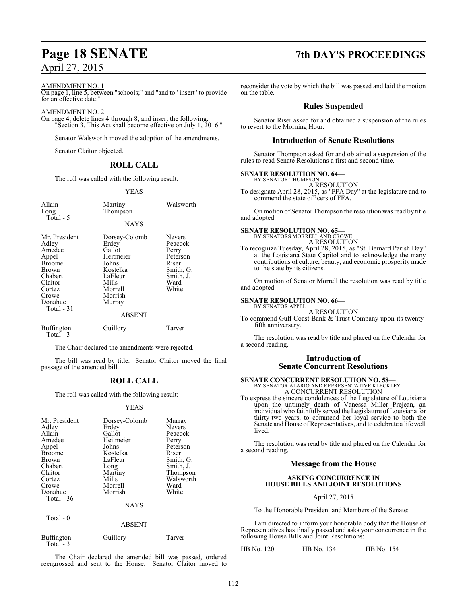#### AMENDMENT NO. 1

On page 1, line 5, between "schools;" and "and to" insert "to provide for an effective date;"

#### AMENDMENT NO. 2

On page 4, delete lines 4 through 8, and insert the following: "Section 3. This Act shall become effective on July 1, 2016."

Senator Walsworth moved the adoption of the amendments.

Senator Claitor objected.

#### **ROLL CALL**

The roll was called with the following result:

#### YEAS

| Allain<br>Long<br>Total - 5                                                                                                                   | Martiny<br>Thompson                                                                                                              | Walsworth                                                                                         |
|-----------------------------------------------------------------------------------------------------------------------------------------------|----------------------------------------------------------------------------------------------------------------------------------|---------------------------------------------------------------------------------------------------|
|                                                                                                                                               | <b>NAYS</b>                                                                                                                      |                                                                                                   |
| Mr. President<br>Adley<br>Amedee<br>Appel<br><b>Broome</b><br><b>Brown</b><br>Chabert<br>Claitor<br>Cortez<br>Crowe<br>Donahue<br>Total $-31$ | Dorsey-Colomb<br>Erdey<br>Gallot<br>Heitmeier<br>Johns<br>Kostelka<br>LaFleur<br>Mills<br>Morrell<br>Morrish<br>Murray<br>ABSENT | <b>Nevers</b><br>Peacock<br>Perry<br>Peterson<br>Riser<br>Smith, G.<br>Smith, J.<br>Ward<br>White |
| <b>Buffington</b><br>$Total - 3$                                                                                                              | Guillory                                                                                                                         | Tarver                                                                                            |

The Chair declared the amendments were rejected.

The bill was read by title. Senator Claitor moved the final passage of the amended bill.

#### **ROLL CALL**

The roll was called with the following result:

#### YEAS

| Mr. President<br>Adley<br>Allain<br>Amedee<br>Appel<br><b>Broome</b><br><b>Brown</b><br>Chabert<br>Claitor<br>Cortez<br>Crowe<br>Donahue<br>Total $-36$ | Dorsey-Colomb<br>Erdey<br>Gallot<br>Heitmeier<br>Johns<br>Kostelka<br>LaFleur<br>Long<br>Martiny<br>Mills<br>Morrell<br>Morrish | Murray<br><b>Nevers</b><br>Peacock<br>Perry<br>Peterson<br>Riser<br>Smith, G.<br>Smith, J.<br>Thompson<br>Walsworth<br>Ward<br>White |
|---------------------------------------------------------------------------------------------------------------------------------------------------------|---------------------------------------------------------------------------------------------------------------------------------|--------------------------------------------------------------------------------------------------------------------------------------|
|                                                                                                                                                         | <b>NAYS</b>                                                                                                                     |                                                                                                                                      |
| Total $-0$                                                                                                                                              | ABSENT                                                                                                                          |                                                                                                                                      |

Buffington Guillory Tarver Total - 3

The Chair declared the amended bill was passed, ordered reengrossed and sent to the House. Senator Claitor moved to

## **Page 18 SENATE 7th DAY'S PROCEEDINGS**

reconsider the vote by which the bill was passed and laid the motion on the table.

#### **Rules Suspended**

Senator Riser asked for and obtained a suspension of the rules to revert to the Morning Hour.

#### **Introduction of Senate Resolutions**

Senator Thompson asked for and obtained a suspension of the rules to read Senate Resolutions a first and second time.

#### **SENATE RESOLUTION NO. 64—**

BY SENATOR THOMPSON A RESOLUTION

To designate April 28, 2015, as "FFA Day" at the legislature and to commend the state officers of FFA.

On motion of Senator Thompson the resolution was read by title and adopted.

**SENATE RESOLUTION NO. 65—** BY SENATORS MORRELL AND CROWE A RESOLUTION

To recognize Tuesday, April 28, 2015, as "St. Bernard Parish Day" at the Louisiana State Capitol and to acknowledge the many contributions of culture, beauty, and economic prosperity made to the state by its citizens.

On motion of Senator Morrell the resolution was read by title and adopted.

#### **SENATE RESOLUTION NO. 66—**

BY SENATOR APPEL A RESOLUTION

To commend Gulf Coast Bank & Trust Company upon its twentyfifth anniversary.

The resolution was read by title and placed on the Calendar for a second reading.

#### **Introduction of Senate Concurrent Resolutions**

#### **SENATE CONCURRENT RESOLUTION NO. 58—** BY SENATOR ALARIO AND REPRESENTATIVE KLECKLEY A CONCURRENT RESOLUTION

To express the sincere condolences of the Legislature of Louisiana upon the untimely death of Vanessa Miller Prejean, an individual who faithfully served the Legislature of Louisiana for thirty-two years, to commend her loyal service to both the Senate and House of Representatives, and to celebrate a life well lived.

The resolution was read by title and placed on the Calendar for a second reading.

#### **Message from the House**

#### **ASKING CONCURRENCE IN HOUSE BILLS AND JOINT RESOLUTIONS**

#### April 27, 2015

To the Honorable President and Members of the Senate:

I am directed to inform your honorable body that the House of Representatives has finally passed and asks your concurrence in the following House Bills and Joint Resolutions:

HB No. 120 HB No. 134 HB No. 154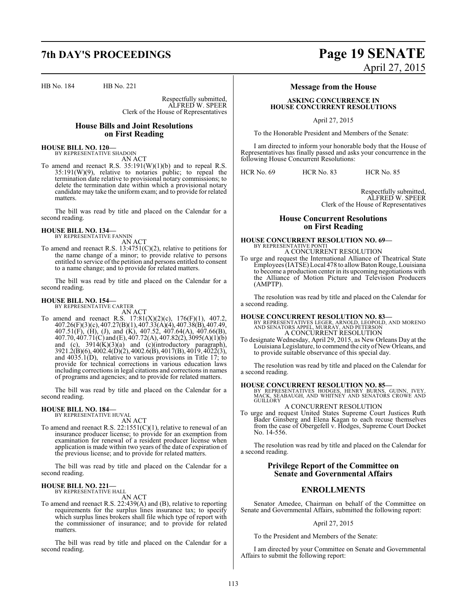HB No. 184 HB No. 221

Respectfully submitted, ALFRED W. SPEER Clerk of the House of Representatives

### **House Bills and Joint Resolutions on First Reading**

**HOUSE BILL NO. 120—** BY REPRESENTATIVE SHADOIN AN ACT

To amend and reenact R.S. 35:191(W)(1)(b) and to repeal R.S. 35:191(W)(9), relative to notaries public; to repeal the termination date relative to provisional notary commissions; to delete the termination date within which a provisional notary candidate may take the uniform exam; and to provide for related matters.

The bill was read by title and placed on the Calendar for a second reading.

## **HOUSE BILL NO. 134—** BY REPRESENTATIVE FANNIN

AN ACT

To amend and reenact R.S. 13:4751(C)(2), relative to petitions for the name change of a minor; to provide relative to persons entitled to service of the petition and persons entitled to consent to a name change; and to provide for related matters.

The bill was read by title and placed on the Calendar for a second reading.

#### **HOUSE BILL NO. 154—**

BY REPRESENTATIVE CARTER AN ACT

To amend and reenact R.S.  $17:81(X)(2)(c)$ ,  $176(F)(1)$ ,  $407.2$ , 407.26(F)(3)(c), 407.27(B)(1), 407.33(A)(4), 407.38(B), 407.49, 407.51(F), (H), (J), and (K), 407.52, 407.64(A), 407.66(B), 407.70, 407.71(C) and (E), 407.72(A), 407.82(2), 3095(A)(1)(b) and (c),  $3914(K)(3)(a)$  and (c)(introductory paragraph), 3921.2(B)(6), 4002.4(D)(2), 4002.6(B), 4017(B), 4019, 4022(3), and 4035.1(D), relative to various provisions in Title 17; to provide for technical corrections in various education laws including corrections in legal citations and corrections in names of programs and agencies; and to provide for related matters.

The bill was read by title and placed on the Calendar for a second reading.

## **HOUSE BILL NO. 184—** BY REPRESENTATIVE HUVAL

AN ACT

To amend and reenact R.S. 22:1551(C)(1), relative to renewal of an insurance producer license; to provide for an exemption from examination for renewal of a resident producer license when application is made within two years of the date of expiration of the previous license; and to provide for related matters.

The bill was read by title and placed on the Calendar for a second reading.

#### **HOUSE BILL NO. 221—** BY REPRESENTATIVE HALL

AN ACT

To amend and reenact R.S. 22:439(A) and (B), relative to reporting requirements for the surplus lines insurance tax; to specify which surplus lines brokers shall file which type of report with the commissioner of insurance; and to provide for related matters.

The bill was read by title and placed on the Calendar for a second reading.

## **7th DAY'S PROCEEDINGS Page 19 SENATE** April 27, 2015

### **Message from the House**

#### **ASKING CONCURRENCE IN HOUSE CONCURRENT RESOLUTIONS**

April 27, 2015

To the Honorable President and Members of the Senate:

I am directed to inform your honorable body that the House of Representatives has finally passed and asks your concurrence in the following House Concurrent Resolutions:

HCR No. 69 HCR No. 83 HCR No. 85

Respectfully submitted, ALFRED W. SPEER Clerk of the House of Representatives

### **House Concurrent Resolutions on First Reading**

### **HOUSE CONCURRENT RESOLUTION NO. 69—** BY REPRESENTATIVE PONTI A CONCURRENT RESOLUTION

To urge and request the International Alliance of Theatrical State Employees (IATSE) Local 478 to allowBatonRouge, Louisiana to become a production center in its upcoming negotiations with the Alliance of Motion Picture and Television Producers (AMPTP).

The resolution was read by title and placed on the Calendar for a second reading.

**HOUSE CONCURRENT RESOLUTION NO. 83**<br>BY REPRESENTATIVES LEGER, ARNOLD, LEOPOLD, AND MORENO<br>AND SENATORS APPEL, MURRAY, AND PETERSON<br>A CONCURRENT RESOLUTION

To designate Wednesday, April 29, 2015, as New Orleans Day at the Louisiana Legislature, to commend the city of NewOrleans, and to provide suitable observance of this special day.

The resolution was read by title and placed on the Calendar for a second reading.

**HOUSE CONCURRENT RESOLUTION NO. 85—** BY REPRESENTATIVES HODGES, HENRY BURNS, GUINN, IVEY, MACK, SEABAUGH, AND WHITNEY AND SENATORS CROWE AND **GUILLORY** 

A CONCURRENT RESOLUTION

To urge and request United States Supreme Court Justices Ruth Bader Ginsberg and Elena Kagan to each recuse themselves from the case of Obergefell v. Hodges, Supreme Court Docket No. 14-556.

The resolution was read by title and placed on the Calendar for a second reading.

#### **Privilege Report of the Committee on Senate and Governmental Affairs**

### **ENROLLMENTS**

Senator Amedee, Chairman on behalf of the Committee on Senate and Governmental Affairs, submitted the following report:

#### April 27, 2015

To the President and Members of the Senate:

I am directed by your Committee on Senate and Governmental Affairs to submit the following report: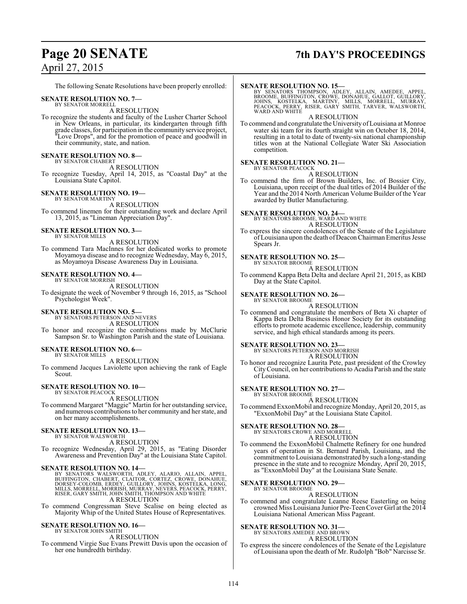## **Page 20 SENATE 7th DAY'S PROCEEDINGS**

The following Senate Resolutions have been properly enrolled:

#### **SENATE RESOLUTION NO. 7—**

BY SENATOR MORRELL A RESOLUTION

To recognize the students and faculty of the Lusher Charter School in New Orleans, in particular, its kindergarten through fifth grade classes, for participation in the community service project, "Love Drops", and for the promotion of peace and goodwill in their community, state, and nation.

#### **SENATE RESOLUTION NO. 8—** BY SENATOR CHABERT

A RESOLUTION

To recognize Tuesday, April 14, 2015, as "Coastal Day" at the Louisiana State Capitol.

#### **SENATE RESOLUTION NO. 19—** BY SENATOR MARTINY

A RESOLUTION To commend linemen for their outstanding work and declare April 13, 2015, as "Lineman Appreciation Day".

#### **SENATE RESOLUTION NO. 3—** BY SENATOR MILLS

A RESOLUTION

To commend Tara MacInnes for her dedicated works to promote Moyamoya disease and to recognize Wednesday, May 6, 2015, as Moyamoya Disease Awareness Day in Louisiana.

### **SENATE RESOLUTION NO. 4—**

BY SENATOR MORRISH A RESOLUTION

To designate the week of November 9 through 16, 2015, as "School Psychologist Week".

#### **SENATE RESOLUTION NO. 5—**

BY SENATORS PETERSON AND NEVERS A RESOLUTION

To honor and recognize the contributions made by McClurie Sampson Sr. to Washington Parish and the state of Louisiana.

#### **SENATE RESOLUTION NO. 6—**

BY SENATOR MILLS A RESOLUTION

To commend Jacques Laviolette upon achieving the rank of Eagle Scout.

## **SENATE RESOLUTION NO. 10—** BY SENATOR PEACOCK

A RESOLUTION

To commend Margaret "Maggie" Martin for her outstanding service, and numerous contributions to her community and her state, and on her many accomplishments.

#### **SENATE RESOLUTION NO. 13—** BY SENATOR WALSWORTH

A RESOLUTION

To recognize Wednesday, April 29, 2015, as "Eating Disorder Awareness and Prevention Day" at the Louisiana State Capitol.

SENATE RESOLUTION NO. 14—<br>BY SENATORS WALSWORTH, ADLEY, ALARIO, ALLAIN, APPEL,<br>BUFFINGTON, CHABERT, CLAITOR, CORTEZ, CROWE, DONAHUE,<br>DORSEY-COLOMB, ERDEY, GUILLORY, JOHNS, KOSTELKA, LONG,<br>MILLS, MORRELL, MORRISH, MURRAY, N

To commend Congressman Steve Scalise on being elected as Majority Whip of the United States House of Representatives.

#### **SENATE RESOLUTION NO. 16—** BY SENATOR JOHN SMITH

A RESOLUTION

To commend Virgie Sue Evans Prewitt Davis upon the occasion of her one hundredth birthday.

#### **SENATE RESOLUTION NO. 15—**

BY SENATORS THOMPSON, ADLEY, ALLAIN, AMEDEE, APPEL,<br>BROOME, BUFFINGTON, CROWE, DONAHUE, GALLOT, GUILLORY,<br>JOHNS, KOSTELKA, MARTINY, MILLS, MORRELL, MURRAY,<br>PEACOCK, PERRY, RISER, GARY SMITH, TARVER, WALSWORTH,<br>WARD AND WHI

A RESOLUTION

To commend and congratulate the University ofLouisiana at Monroe water ski team for its fourth straight win on October 18, 2014, resulting in a total to date of twenty-six national championship titles won at the National Collegiate Water Ski Association competition.

#### **SENATE RESOLUTION NO. 21—**

BY SENATOR PEACOCK A RESOLUTION

To commend the firm of Brown Builders, Inc. of Bossier City, Louisiana, upon receipt of the dual titles of 2014 Builder of the Year and the 2014 North American Volume Builder of the Year awarded by Butler Manufacturing.

**SENATE RESOLUTION NO. 24–**<br>BY SENATORS BROOME, WARD AND WHITE A RESOLUTION

To express the sincere condolences of the Senate of the Legislature ofLouisiana upon the death ofDeacon Chairman Emeritus Jesse Spears Jr.

#### **SENATE RESOLUTION NO. 25—**

BY SENATOR BROOME A RESOLUTION

To commend Kappa Beta Delta and declare April 21, 2015, as KBD Day at the State Capitol.

## **SENATE RESOLUTION NO. 26—**<br>BY SENATOR BROOME

A RESOLUTION

To commend and congratulate the members of Beta Xi chapter of Kappa Beta Delta Business Honor Society for its outstanding efforts to promote academic excellence, leadership, community service, and high ethical standards among its peers.

## **SENATE RESOLUTION NO. 23—**<br>BY SENATORS PETERSON AND MORRISH

A RESOLUTION

To honor and recognize Laurita Pete, past president of the Crowley City Council, on her contributions to Acadia Parish and the state of Louisiana.

#### **SENATE RESOLUTION NO. 27—**

BY SENATOR BROOME A RESOLUTION

To commend ExxonMobil and recognize Monday, April 20, 2015, as "ExxonMobil Day" at the Louisiana State Capitol.

# **SENATE RESOLUTION NO. 28—**<br>BY SENATORS CROWE AND MORRELL<br>A RESOLUTION

To commend the ExxonMobil Chalmette Refinery for one hundred years of operation in St. Bernard Parish, Louisiana, and the commitment to Louisiana demonstrated by such a long-standing presence in the state and to recognize Monday, April 20, 2015, as "ExxonMobil Day" at the Louisiana State Senate.

#### **SENATE RESOLUTION NO. 29—** BY SENATOR BROOME

A RESOLUTION

To commend and congratulate Leanne Reese Easterling on being crowned Miss Louisiana Junior Pre-TeenCover Girl at the 2014 Louisiana National American Miss Pageant.

### **SENATE RESOLUTION NO. 31—**

BY SENATORS AMEDEE AND BROWN A RESOLUTION

To express the sincere condolences of the Senate of the Legislature of Louisiana upon the death of Mr. Rudolph "Bob" Narcisse Sr.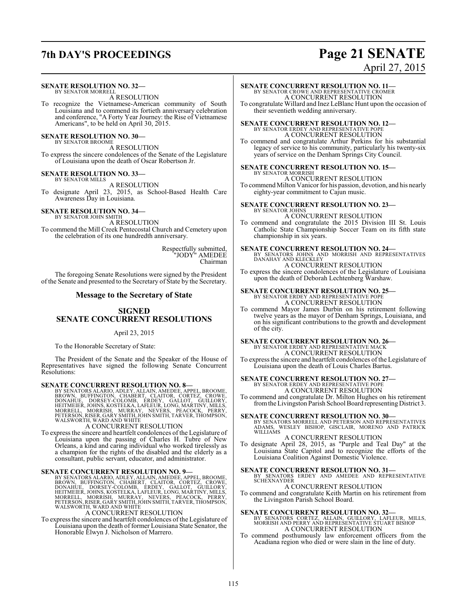## **7th DAY'S PROCEEDINGS Page 21 SENATE**

### **SENATE RESOLUTION NO. 32—**

BY SENATOR MORRELL A RESOLUTION

To recognize the Vietnamese-American community of South Louisiana and to commend its fortieth anniversary celebration and conference, "A Forty Year Journey: the Rise of Vietnamese Americans", to be held on April 30, 2015.

#### **SENATE RESOLUTION NO. 30—** BY SENATOR BROOME

A RESOLUTION

To express the sincere condolences of the Senate of the Legislature of Louisiana upon the death of Oscar Robertson Jr.

## **SENATE RESOLUTION NO. 33—** BY SENATOR MILLS

A RESOLUTION

To designate April 23, 2015, as School-Based Health Care Awareness Day in Louisiana.

#### **SENATE RESOLUTION NO. 34—** BY SENATOR JOHN SMITH

A RESOLUTION To commend the Mill Creek Pentecostal Church and Cemetery upon the celebration of its one hundredth anniversary.

> Respectfully submitted, "JODY" AMEDEE Chairman

The foregoing Senate Resolutions were signed by the President of the Senate and presented to the Secretary of State by the Secretary.

### **Message to the Secretary of State**

#### **SIGNED SENATE CONCURRENT RESOLUTIONS**

#### April 23, 2015

To the Honorable Secretary of State:

The President of the Senate and the Speaker of the House of Representatives have signed the following Senate Concurrent Resolutions:

SENATE CONCURRENT RESOLUTION NO. 8-BY SENATORS ALARNO, ADLEY, ALLAIN, AMEDEE, APPEL, BROOME, BROWN, BUFFINGTON, CHABERT, CLAITOR, CORTEZ, CROWE, DONAHUE, DORSEY-COLOMB, ÉRDEY, GALLOT, GUILLORY, HEITMEIER, JOHNS, KOSTELKA,

To express the sincere and heartfelt condolences of the Legislature of Louisiana upon the passing of Charles H. Tubre of New Orleans, a kind and caring individual who worked tirelessly as a champion for the rights of the disabled and the elderly as a consultant, public servant, educator, and administrator.

**SENATE CONCURRENT RESOLUTION NO. 9**<br>BY SENATORS ALARIO, ADLEY, ALLAIN, AMEDEE, APPEL, BROOME, BROOM, UFFINGTON, CHABERT, CLAITOR, CORTEZ, CROWE,<br>DONAHUE, DORSEY-COLOMB, ERDEY, GALLOT, GUILLORY,<br>HEITMEIER, JOHNS, KOSTELKA,

#### A CONCURRENT RESOLUTION

To express the sincere and heartfelt condolences of the Legislature of Louisiana upon the death of former Louisiana State Senator, the Honorable Elwyn J. Nicholson of Marrero.

# April 27, 2015

**SENATE CONCURRENT RESOLUTION NO. 11—** BY SENATOR CROWE AND REPRESENTATIVE CROMER A CONCURRENT RESOLUTION

To congratulate Willard and Inez LeBlanc Hunt upon the occasion of their seventieth wedding anniversary.

## **SENATE CONCURRENT RESOLUTION NO. 12—** BY SENATOR ERDEY AND REPRESENTATIVE POPE

A CONCURRENT RESOLUTION

To commend and congratulate Arthur Perkins for his substantial legacy of service to his community, particularly his twenty-six years of service on the Denham Springs City Council.

#### **SENATE CONCURRENT RESOLUTION NO. 15—** BY SENATOR MORRISH

A CONCURRENT RESOLUTION To commend Milton Vanicor for his passion, devotion, and his nearly eighty-year commitment to Cajun music.

#### **SENATE CONCURRENT RESOLUTION NO. 23—** BY SENATOR JOHNS

A CONCURRENT RESOLUTION To commend and congratulate the 2015 Division III St. Louis Catholic State Championship Soccer Team on its fifth state championship in six years.

**SENATE CONCURRENT RESOLUTION NO. 24—**<br>BY SENATORS JOHNS AND MORRISH AND REPRESENTATIVES<br>DANAHAY AND KLECKLEY A CONCURRENT RESOLUTION

To express the sincere condolences of the Legislature of Louisiana upon the death of Deborah Lechtenberg Warshaw.

**SENATE CONCURRENT RESOLUTION NO. 25—**<br>BY SENATOR ERDEY AND REPRESENTATIVE POPE<br>A CONCURRENT RESOLUTION

To commend Mayor James Durbin on his retirement following twelve years as the mayor of Denham Springs, Louisiana, and on his significant contributions to the growth and development of the city.

# **SENATE CONCURRENT RESOLUTION NO. 26—**<br>BY SENATOR ERDEY AND REPRESENTATIVE MACK<br>A CONCURRENT RESOLUTION

To express the sincere and heartfelt condolences of the Legislature of Louisiana upon the death of Louis Charles Bartus.

## **SENATE CONCURRENT RESOLUTION NO. 27—** BY SENATOR ERDEY AND REPRESENTATIVE POPE

A CONCURRENT RESOLUTION

#### To commend and congratulate Dr. Milton Hughes on his retirement from the Livingston Parish School Board representing District 3.

**SENATE CONCURRENT RESOLUTION NO. 30—**

BY SENATORS MORRELL AND PETERSON AND REPRESENTATIVES ADAMS, WESLEY BISHOP, GISCLAIR, MORENO AND PATRICK WILLIAMS

A CONCURRENT RESOLUTION

To designate April 28, 2015, as "Purple and Teal Day" at the Louisiana State Capitol and to recognize the efforts of the Louisiana Coalition Against Domestic Violence.

**SENATE CONCURRENT RESOLUTION NO. 31—**<br>BY SENATORS ERDEY AND AMEDEE AND REPRESENTATIVE<br>SCHEXNAYDER

A CONCURRENT RESOLUTION

To commend and congratulate Keith Martin on his retirement from the Livingston Parish School Board.

**SENATE CONCURRENT RESOLUTION NO. 32—**<br>BY SENATORS CORTEZ, ALLAIN, GUILLORY, LAFLEUR, MILLS,<br>MORRISH AND PERRY AND REPRESENTATIVE STUART BISHOP A CONCURRENT RESOLUTION

To commend posthumously law enforcement officers from the Acadiana region who died or were slain in the line of duty.